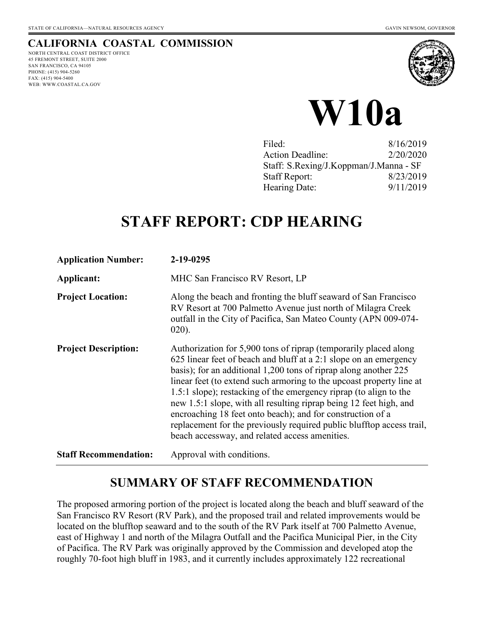## **CALIFORNIA COASTAL COMMISSION**

NORTH CENTRAL COAST DISTRICT OFFICE 45 FREMONT STREET, SUITE 2000 SAN FRANCISCO, CA 94105 PHONE: (415) 904-5260 FAX: (415) 904-5400 WEB: WWW.COASTAL.CA.GOV





| Filed:                                 | 8/16/2019 |
|----------------------------------------|-----------|
| <b>Action Deadline:</b>                | 2/20/2020 |
| Staff: S.Rexing/J.Koppman/J.Manna - SF |           |
| <b>Staff Report:</b>                   | 8/23/2019 |
| Hearing Date:                          | 9/11/2019 |

# **STAFF REPORT: CDP HEARING**

| <b>Application Number:</b>   | 2-19-0295                                                                                                                                                                                                                                                                                                                                                                                                                                                                                                                                                                                                             |
|------------------------------|-----------------------------------------------------------------------------------------------------------------------------------------------------------------------------------------------------------------------------------------------------------------------------------------------------------------------------------------------------------------------------------------------------------------------------------------------------------------------------------------------------------------------------------------------------------------------------------------------------------------------|
| Applicant:                   | MHC San Francisco RV Resort, LP                                                                                                                                                                                                                                                                                                                                                                                                                                                                                                                                                                                       |
| <b>Project Location:</b>     | Along the beach and fronting the bluff seaward of San Francisco<br>RV Resort at 700 Palmetto Avenue just north of Milagra Creek<br>outfall in the City of Pacifica, San Mateo County (APN 009-074-<br>$020$ ).                                                                                                                                                                                                                                                                                                                                                                                                        |
| <b>Project Description:</b>  | Authorization for 5,900 tons of riprap (temporarily placed along<br>625 linear feet of beach and bluff at a 2:1 slope on an emergency<br>basis); for an additional 1,200 tons of riprap along another 225<br>linear feet (to extend such armoring to the upcoast property line at<br>1.5:1 slope); restacking of the emergency riprap (to align to the<br>new 1.5:1 slope, with all resulting riprap being 12 feet high, and<br>encroaching 18 feet onto beach); and for construction of a<br>replacement for the previously required public blufftop access trail,<br>beach accessway, and related access amenities. |
| <b>Staff Recommendation:</b> | Approval with conditions.                                                                                                                                                                                                                                                                                                                                                                                                                                                                                                                                                                                             |

## **SUMMARY OF STAFF RECOMMENDATION**

The proposed armoring portion of the project is located along the beach and bluff seaward of the San Francisco RV Resort (RV Park), and the proposed trail and related improvements would be located on the blufftop seaward and to the south of the RV Park itself at 700 Palmetto Avenue, east of Highway 1 and north of the Milagra Outfall and the Pacifica Municipal Pier, in the City of Pacifica. The RV Park was originally approved by the Commission and developed atop the roughly 70-foot high bluff in 1983, and it currently includes approximately 122 recreational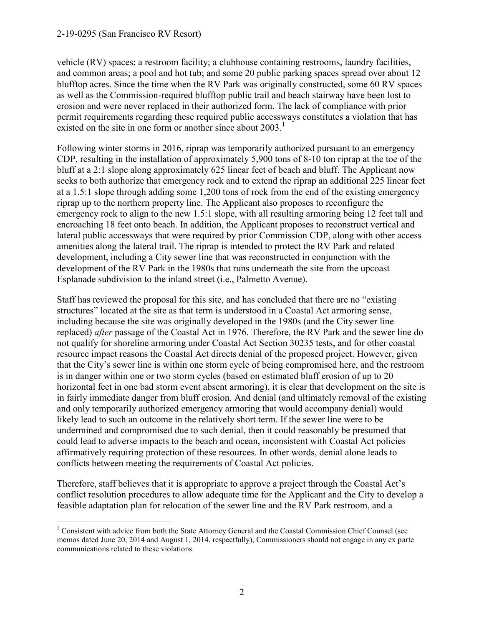#### 2-19-0295 (San Francisco RV Resort)

 $\overline{a}$ 

vehicle (RV) spaces; a restroom facility; a clubhouse containing restrooms, laundry facilities, and common areas; a pool and hot tub; and some 20 public parking spaces spread over about 12 blufftop acres. Since the time when the RV Park was originally constructed, some 60 RV spaces as well as the Commission-required blufftop public trail and beach stairway have been lost to erosion and were never replaced in their authorized form. The lack of compliance with prior permit requirements regarding these required public accessways constitutes a violation that has existed on the site in one form or another since about  $2003<sup>1</sup>$ 

Following winter storms in 2016, riprap was temporarily authorized pursuant to an emergency CDP, resulting in the installation of approximately 5,900 tons of 8-10 ton riprap at the toe of the bluff at a 2:1 slope along approximately 625 linear feet of beach and bluff. The Applicant now seeks to both authorize that emergency rock and to extend the riprap an additional 225 linear feet at a 1.5:1 slope through adding some 1,200 tons of rock from the end of the existing emergency riprap up to the northern property line. The Applicant also proposes to reconfigure the emergency rock to align to the new 1.5:1 slope, with all resulting armoring being 12 feet tall and encroaching 18 feet onto beach. In addition, the Applicant proposes to reconstruct vertical and lateral public accessways that were required by prior Commission CDP, along with other access amenities along the lateral trail. The riprap is intended to protect the RV Park and related development, including a City sewer line that was reconstructed in conjunction with the development of the RV Park in the 1980s that runs underneath the site from the upcoast Esplanade subdivision to the inland street (i.e., Palmetto Avenue).

Staff has reviewed the proposal for this site, and has concluded that there are no "existing structures" located at the site as that term is understood in a Coastal Act armoring sense, including because the site was originally developed in the 1980s (and the City sewer line replaced) *after* passage of the Coastal Act in 1976. Therefore, the RV Park and the sewer line do not qualify for shoreline armoring under Coastal Act Section 30235 tests, and for other coastal resource impact reasons the Coastal Act directs denial of the proposed project. However, given that the City's sewer line is within one storm cycle of being compromised here, and the restroom is in danger within one or two storm cycles (based on estimated bluff erosion of up to 20 horizontal feet in one bad storm event absent armoring), it is clear that development on the site is in fairly immediate danger from bluff erosion. And denial (and ultimately removal of the existing and only temporarily authorized emergency armoring that would accompany denial) would likely lead to such an outcome in the relatively short term. If the sewer line were to be undermined and compromised due to such denial, then it could reasonably be presumed that could lead to adverse impacts to the beach and ocean, inconsistent with Coastal Act policies affirmatively requiring protection of these resources. In other words, denial alone leads to conflicts between meeting the requirements of Coastal Act policies.

Therefore, staff believes that it is appropriate to approve a project through the Coastal Act's conflict resolution procedures to allow adequate time for the Applicant and the City to develop a feasible adaptation plan for relocation of the sewer line and the RV Park restroom, and a

<sup>&</sup>lt;sup>1</sup> Consistent with advice from both the State Attorney General and the Coastal Commission Chief Counsel (see memos dated June 20, 2014 and August 1, 2014, respectfully), Commissioners should not engage in any ex parte communications related to these violations.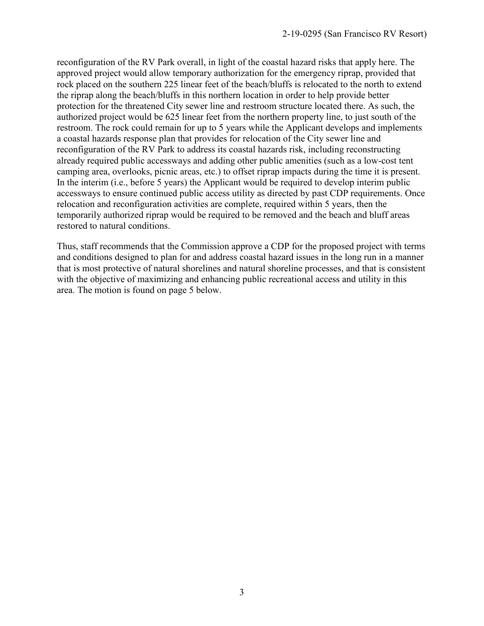reconfiguration of the RV Park overall, in light of the coastal hazard risks that apply here. The approved project would allow temporary authorization for the emergency riprap, provided that rock placed on the southern 225 linear feet of the beach/bluffs is relocated to the north to extend the riprap along the beach/bluffs in this northern location in order to help provide better protection for the threatened City sewer line and restroom structure located there. As such, the authorized project would be 625 linear feet from the northern property line, to just south of the restroom. The rock could remain for up to 5 years while the Applicant develops and implements a coastal hazards response plan that provides for relocation of the City sewer line and reconfiguration of the RV Park to address its coastal hazards risk, including reconstructing already required public accessways and adding other public amenities (such as a low-cost tent camping area, overlooks, picnic areas, etc.) to offset riprap impacts during the time it is present. In the interim (i.e., before 5 years) the Applicant would be required to develop interim public accessways to ensure continued public access utility as directed by past CDP requirements. Once relocation and reconfiguration activities are complete, required within 5 years, then the temporarily authorized riprap would be required to be removed and the beach and bluff areas restored to natural conditions.

Thus, staff recommends that the Commission approve a CDP for the proposed project with terms and conditions designed to plan for and address coastal hazard issues in the long run in a manner that is most protective of natural shorelines and natural shoreline processes, and that is consistent with the objective of maximizing and enhancing public recreational access and utility in this area. The motion is found on page 5 below.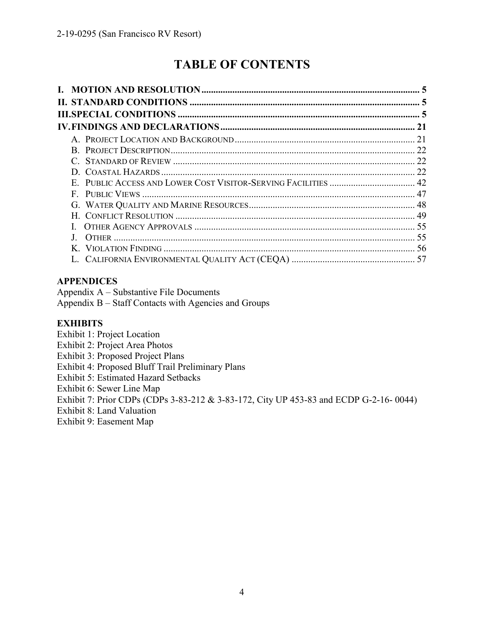# **TABLE OF CONTENTS**

| E. PUBLIC ACCESS AND LOWER COST VISITOR-SERVING FACILITIES  42 |  |
|----------------------------------------------------------------|--|
|                                                                |  |
|                                                                |  |
|                                                                |  |
|                                                                |  |
|                                                                |  |
|                                                                |  |
|                                                                |  |

## **APPENDICES**

Appendix A – Substantive File Documents Appendix B – Staff Contacts with Agencies and Groups

## **EXHIBITS**

Exhibit 1: Project Location

Exhibit 2: Project Area Photos

Exhibit 3: Proposed Project Plans

Exhibit 4: Proposed Bluff Trail Preliminary Plans

Exhibit 5: Estimated Hazard Setbacks

Exhibit 6: Sewer Line Map

Exhibit 7: Prior CDPs (CDPs 3-83-212 & 3-83-172, City UP 453-83 and ECDP G-2-16- 0044)

Exhibit 8: Land Valuation

Exhibit 9: Easement Map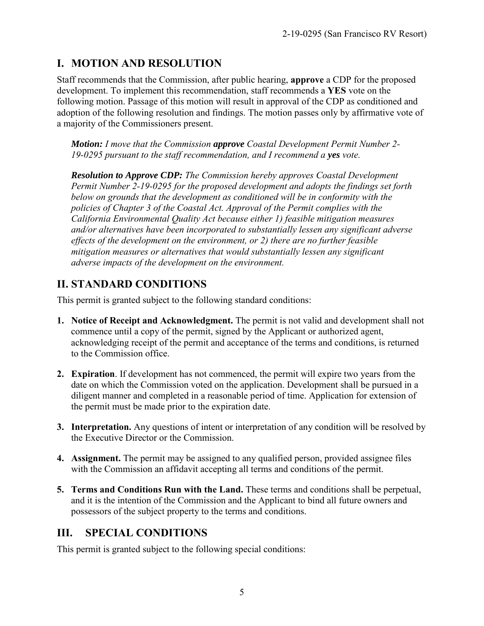## **I. MOTION AND RESOLUTION**

Staff recommends that the Commission, after public hearing, **approve** a CDP for the proposed development. To implement this recommendation, staff recommends a **YES** vote on the following motion. Passage of this motion will result in approval of the CDP as conditioned and adoption of the following resolution and findings. The motion passes only by affirmative vote of a majority of the Commissioners present.

*Motion: I move that the Commission approve Coastal Development Permit Number 2- 19-0295 pursuant to the staff recommendation, and I recommend a yes vote.* 

*Resolution to Approve CDP: The Commission hereby approves Coastal Development Permit Number 2-19-0295 for the proposed development and adopts the findings set forth below on grounds that the development as conditioned will be in conformity with the policies of Chapter 3 of the Coastal Act. Approval of the Permit complies with the California Environmental Quality Act because either 1) feasible mitigation measures and/or alternatives have been incorporated to substantially lessen any significant adverse effects of the development on the environment, or 2) there are no further feasible mitigation measures or alternatives that would substantially lessen any significant adverse impacts of the development on the environment.* 

## **II. STANDARD CONDITIONS**

This permit is granted subject to the following standard conditions:

- **1. Notice of Receipt and Acknowledgment.** The permit is not valid and development shall not commence until a copy of the permit, signed by the Applicant or authorized agent, acknowledging receipt of the permit and acceptance of the terms and conditions, is returned to the Commission office.
- **2. Expiration**. If development has not commenced, the permit will expire two years from the date on which the Commission voted on the application. Development shall be pursued in a diligent manner and completed in a reasonable period of time. Application for extension of the permit must be made prior to the expiration date.
- **3. Interpretation.** Any questions of intent or interpretation of any condition will be resolved by the Executive Director or the Commission.
- **4. Assignment.** The permit may be assigned to any qualified person, provided assignee files with the Commission an affidavit accepting all terms and conditions of the permit.
- **5. Terms and Conditions Run with the Land.** These terms and conditions shall be perpetual, and it is the intention of the Commission and the Applicant to bind all future owners and possessors of the subject property to the terms and conditions.

## **III. SPECIAL CONDITIONS**

This permit is granted subject to the following special conditions: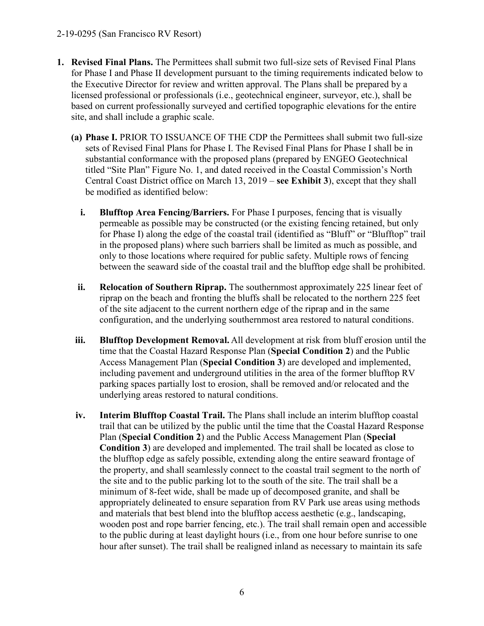- **1. Revised Final Plans.** The Permittees shall submit two full-size sets of Revised Final Plans for Phase I and Phase II development pursuant to the timing requirements indicated below to the Executive Director for review and written approval. The Plans shall be prepared by a licensed professional or professionals (i.e., geotechnical engineer, surveyor, etc.), shall be based on current professionally surveyed and certified topographic elevations for the entire site, and shall include a graphic scale.
	- **(a) Phase I.** PRIOR TO ISSUANCE OF THE CDP the Permittees shall submit two full-size sets of Revised Final Plans for Phase I. The Revised Final Plans for Phase I shall be in substantial conformance with the proposed plans (prepared by ENGEO Geotechnical titled "Site Plan" Figure No. 1, and dated received in the Coastal Commission's North Central Coast District office on March 13, 2019 – **see Exhibit 3**), except that they shall be modified as identified below:
		- **i. Blufftop Area Fencing/Barriers.** For Phase I purposes, fencing that is visually permeable as possible may be constructed (or the existing fencing retained, but only for Phase I) along the edge of the coastal trail (identified as "Bluff" or "Blufftop" trail in the proposed plans) where such barriers shall be limited as much as possible, and only to those locations where required for public safety. Multiple rows of fencing between the seaward side of the coastal trail and the blufftop edge shall be prohibited.
		- **ii. Relocation of Southern Riprap.** The southernmost approximately 225 linear feet of riprap on the beach and fronting the bluffs shall be relocated to the northern 225 feet of the site adjacent to the current northern edge of the riprap and in the same configuration, and the underlying southernmost area restored to natural conditions.
	- **iii. Blufftop Development Removal.** All development at risk from bluff erosion until the time that the Coastal Hazard Response Plan (**Special Condition 2**) and the Public Access Management Plan (**Special Condition 3**) are developed and implemented, including pavement and underground utilities in the area of the former blufftop RV parking spaces partially lost to erosion, shall be removed and/or relocated and the underlying areas restored to natural conditions.
	- **iv. Interim Blufftop Coastal Trail.** The Plans shall include an interim blufftop coastal trail that can be utilized by the public until the time that the Coastal Hazard Response Plan (**Special Condition 2**) and the Public Access Management Plan (**Special Condition 3**) are developed and implemented. The trail shall be located as close to the blufftop edge as safely possible, extending along the entire seaward frontage of the property, and shall seamlessly connect to the coastal trail segment to the north of the site and to the public parking lot to the south of the site. The trail shall be a minimum of 8-feet wide, shall be made up of decomposed granite, and shall be appropriately delineated to ensure separation from RV Park use areas using methods and materials that best blend into the blufftop access aesthetic (e.g., landscaping, wooden post and rope barrier fencing, etc.). The trail shall remain open and accessible to the public during at least daylight hours (i.e., from one hour before sunrise to one hour after sunset). The trail shall be realigned inland as necessary to maintain its safe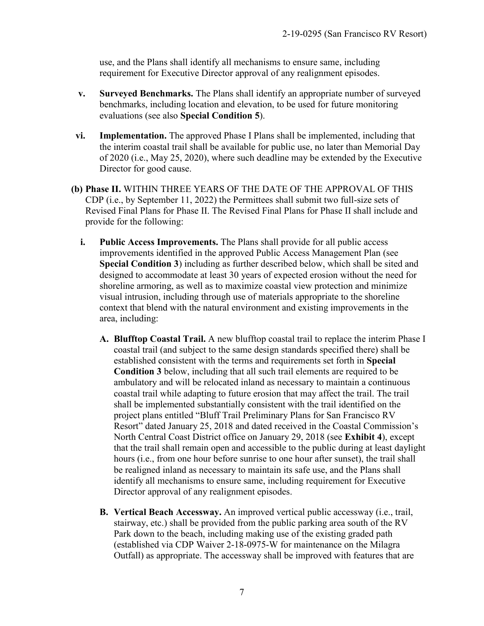use, and the Plans shall identify all mechanisms to ensure same, including requirement for Executive Director approval of any realignment episodes.

- **v. Surveyed Benchmarks.** The Plans shall identify an appropriate number of surveyed benchmarks, including location and elevation, to be used for future monitoring evaluations (see also **Special Condition 5**).
- **vi. Implementation.** The approved Phase I Plans shall be implemented, including that the interim coastal trail shall be available for public use, no later than Memorial Day of 2020 (i.e., May 25, 2020), where such deadline may be extended by the Executive Director for good cause.
- **(b) Phase II.** WITHIN THREE YEARS OF THE DATE OF THE APPROVAL OF THIS CDP (i.e., by September 11, 2022) the Permittees shall submit two full-size sets of Revised Final Plans for Phase II. The Revised Final Plans for Phase II shall include and provide for the following:
	- **i. Public Access Improvements.** The Plans shall provide for all public access improvements identified in the approved Public Access Management Plan (see **Special Condition 3**) including as further described below, which shall be sited and designed to accommodate at least 30 years of expected erosion without the need for shoreline armoring, as well as to maximize coastal view protection and minimize visual intrusion, including through use of materials appropriate to the shoreline context that blend with the natural environment and existing improvements in the area, including:
		- **A. Blufftop Coastal Trail.** A new blufftop coastal trail to replace the interim Phase I coastal trail (and subject to the same design standards specified there) shall be established consistent with the terms and requirements set forth in **Special Condition 3** below, including that all such trail elements are required to be ambulatory and will be relocated inland as necessary to maintain a continuous coastal trail while adapting to future erosion that may affect the trail. The trail shall be implemented substantially consistent with the trail identified on the project plans entitled "Bluff Trail Preliminary Plans for San Francisco RV Resort" dated January 25, 2018 and dated received in the Coastal Commission's North Central Coast District office on January 29, 2018 (see **Exhibit 4**), except that the trail shall remain open and accessible to the public during at least daylight hours (i.e., from one hour before sunrise to one hour after sunset), the trail shall be realigned inland as necessary to maintain its safe use, and the Plans shall identify all mechanisms to ensure same, including requirement for Executive Director approval of any realignment episodes.
		- **B. Vertical Beach Accessway.** An improved vertical public accessway (i.e., trail, stairway, etc.) shall be provided from the public parking area south of the RV Park down to the beach, including making use of the existing graded path (established via CDP Waiver 2-18-0975-W for maintenance on the Milagra Outfall) as appropriate. The accessway shall be improved with features that are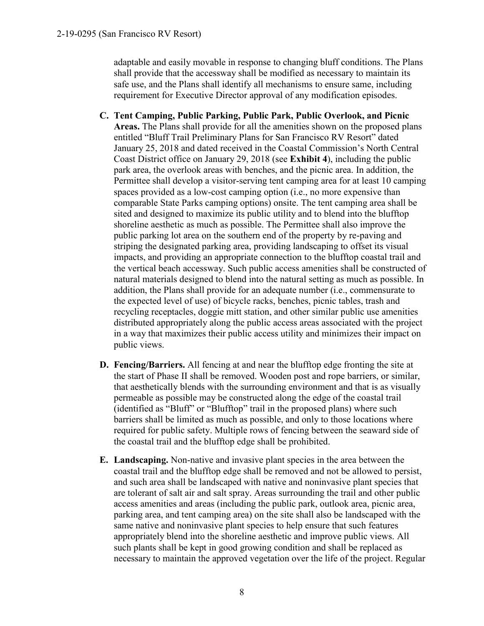adaptable and easily movable in response to changing bluff conditions. The Plans shall provide that the accessway shall be modified as necessary to maintain its safe use, and the Plans shall identify all mechanisms to ensure same, including requirement for Executive Director approval of any modification episodes.

- **C. Tent Camping, Public Parking, Public Park, Public Overlook, and Picnic Areas.** The Plans shall provide for all the amenities shown on the proposed plans entitled "Bluff Trail Preliminary Plans for San Francisco RV Resort" dated January 25, 2018 and dated received in the Coastal Commission's North Central Coast District office on January 29, 2018 (see **Exhibit 4**), including the public park area, the overlook areas with benches, and the picnic area. In addition, the Permittee shall develop a visitor-serving tent camping area for at least 10 camping spaces provided as a low-cost camping option (i.e., no more expensive than comparable State Parks camping options) onsite. The tent camping area shall be sited and designed to maximize its public utility and to blend into the blufftop shoreline aesthetic as much as possible. The Permittee shall also improve the public parking lot area on the southern end of the property by re-paving and striping the designated parking area, providing landscaping to offset its visual impacts, and providing an appropriate connection to the blufftop coastal trail and the vertical beach accessway. Such public access amenities shall be constructed of natural materials designed to blend into the natural setting as much as possible. In addition, the Plans shall provide for an adequate number (i.e., commensurate to the expected level of use) of bicycle racks, benches, picnic tables, trash and recycling receptacles, doggie mitt station, and other similar public use amenities distributed appropriately along the public access areas associated with the project in a way that maximizes their public access utility and minimizes their impact on public views.
- **D. Fencing/Barriers.** All fencing at and near the blufftop edge fronting the site at the start of Phase II shall be removed. Wooden post and rope barriers, or similar, that aesthetically blends with the surrounding environment and that is as visually permeable as possible may be constructed along the edge of the coastal trail (identified as "Bluff" or "Blufftop" trail in the proposed plans) where such barriers shall be limited as much as possible, and only to those locations where required for public safety. Multiple rows of fencing between the seaward side of the coastal trail and the blufftop edge shall be prohibited.
- **E. Landscaping.** Non-native and invasive plant species in the area between the coastal trail and the blufftop edge shall be removed and not be allowed to persist, and such area shall be landscaped with native and noninvasive plant species that are tolerant of salt air and salt spray. Areas surrounding the trail and other public access amenities and areas (including the public park, outlook area, picnic area, parking area, and tent camping area) on the site shall also be landscaped with the same native and noninvasive plant species to help ensure that such features appropriately blend into the shoreline aesthetic and improve public views. All such plants shall be kept in good growing condition and shall be replaced as necessary to maintain the approved vegetation over the life of the project. Regular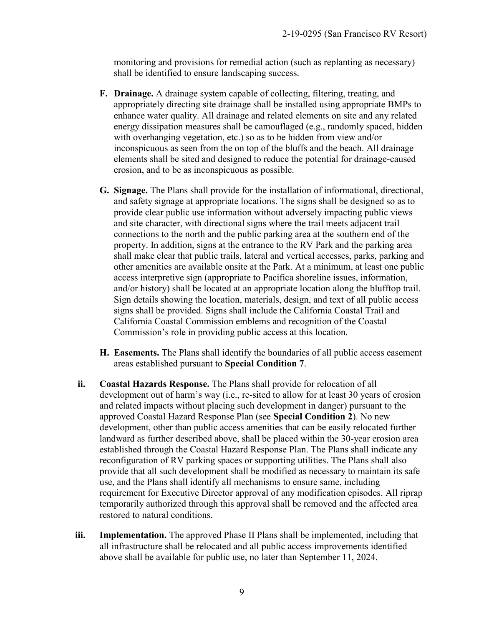monitoring and provisions for remedial action (such as replanting as necessary) shall be identified to ensure landscaping success.

- **F. Drainage.** A drainage system capable of collecting, filtering, treating, and appropriately directing site drainage shall be installed using appropriate BMPs to enhance water quality. All drainage and related elements on site and any related energy dissipation measures shall be camouflaged (e.g., randomly spaced, hidden with overhanging vegetation, etc.) so as to be hidden from view and/or inconspicuous as seen from the on top of the bluffs and the beach. All drainage elements shall be sited and designed to reduce the potential for drainage-caused erosion, and to be as inconspicuous as possible.
- **G. Signage.** The Plans shall provide for the installation of informational, directional, and safety signage at appropriate locations. The signs shall be designed so as to provide clear public use information without adversely impacting public views and site character, with directional signs where the trail meets adjacent trail connections to the north and the public parking area at the southern end of the property. In addition, signs at the entrance to the RV Park and the parking area shall make clear that public trails, lateral and vertical accesses, parks, parking and other amenities are available onsite at the Park. At a minimum, at least one public access interpretive sign (appropriate to Pacifica shoreline issues, information, and/or history) shall be located at an appropriate location along the blufftop trail. Sign details showing the location, materials, design, and text of all public access signs shall be provided. Signs shall include the California Coastal Trail and California Coastal Commission emblems and recognition of the Coastal Commission's role in providing public access at this location.
- **H. Easements.** The Plans shall identify the boundaries of all public access easement areas established pursuant to **Special Condition 7**.
- **ii. Coastal Hazards Response.** The Plans shall provide for relocation of all development out of harm's way (i.e., re-sited to allow for at least 30 years of erosion and related impacts without placing such development in danger) pursuant to the approved Coastal Hazard Response Plan (see **Special Condition 2**). No new development, other than public access amenities that can be easily relocated further landward as further described above, shall be placed within the 30-year erosion area established through the Coastal Hazard Response Plan. The Plans shall indicate any reconfiguration of RV parking spaces or supporting utilities. The Plans shall also provide that all such development shall be modified as necessary to maintain its safe use, and the Plans shall identify all mechanisms to ensure same, including requirement for Executive Director approval of any modification episodes. All riprap temporarily authorized through this approval shall be removed and the affected area restored to natural conditions.
- **iii. Implementation.** The approved Phase II Plans shall be implemented, including that all infrastructure shall be relocated and all public access improvements identified above shall be available for public use, no later than September 11, 2024.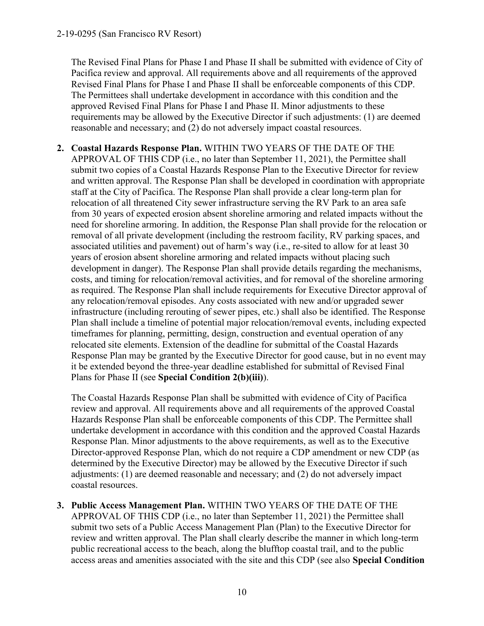The Revised Final Plans for Phase I and Phase II shall be submitted with evidence of City of Pacifica review and approval. All requirements above and all requirements of the approved Revised Final Plans for Phase I and Phase II shall be enforceable components of this CDP. The Permittees shall undertake development in accordance with this condition and the approved Revised Final Plans for Phase I and Phase II. Minor adjustments to these requirements may be allowed by the Executive Director if such adjustments: (1) are deemed reasonable and necessary; and (2) do not adversely impact coastal resources.

**2. Coastal Hazards Response Plan.** WITHIN TWO YEARS OF THE DATE OF THE APPROVAL OF THIS CDP (i.e., no later than September 11, 2021), the Permittee shall submit two copies of a Coastal Hazards Response Plan to the Executive Director for review and written approval. The Response Plan shall be developed in coordination with appropriate staff at the City of Pacifica. The Response Plan shall provide a clear long-term plan for relocation of all threatened City sewer infrastructure serving the RV Park to an area safe from 30 years of expected erosion absent shoreline armoring and related impacts without the need for shoreline armoring. In addition, the Response Plan shall provide for the relocation or removal of all private development (including the restroom facility, RV parking spaces, and associated utilities and pavement) out of harm's way (i.e., re-sited to allow for at least 30 years of erosion absent shoreline armoring and related impacts without placing such development in danger). The Response Plan shall provide details regarding the mechanisms, costs, and timing for relocation/removal activities, and for removal of the shoreline armoring as required. The Response Plan shall include requirements for Executive Director approval of any relocation/removal episodes. Any costs associated with new and/or upgraded sewer infrastructure (including rerouting of sewer pipes, etc.) shall also be identified. The Response Plan shall include a timeline of potential major relocation/removal events, including expected timeframes for planning, permitting, design, construction and eventual operation of any relocated site elements. Extension of the deadline for submittal of the Coastal Hazards Response Plan may be granted by the Executive Director for good cause, but in no event may it be extended beyond the three-year deadline established for submittal of Revised Final Plans for Phase II (see **Special Condition 2(b)(iii)**).

The Coastal Hazards Response Plan shall be submitted with evidence of City of Pacifica review and approval. All requirements above and all requirements of the approved Coastal Hazards Response Plan shall be enforceable components of this CDP. The Permittee shall undertake development in accordance with this condition and the approved Coastal Hazards Response Plan. Minor adjustments to the above requirements, as well as to the Executive Director-approved Response Plan, which do not require a CDP amendment or new CDP (as determined by the Executive Director) may be allowed by the Executive Director if such adjustments: (1) are deemed reasonable and necessary; and (2) do not adversely impact coastal resources.

**3. Public Access Management Plan.** WITHIN TWO YEARS OF THE DATE OF THE APPROVAL OF THIS CDP (i.e., no later than September 11, 2021) the Permittee shall submit two sets of a Public Access Management Plan (Plan) to the Executive Director for review and written approval. The Plan shall clearly describe the manner in which long-term public recreational access to the beach, along the blufftop coastal trail, and to the public access areas and amenities associated with the site and this CDP (see also **Special Condition**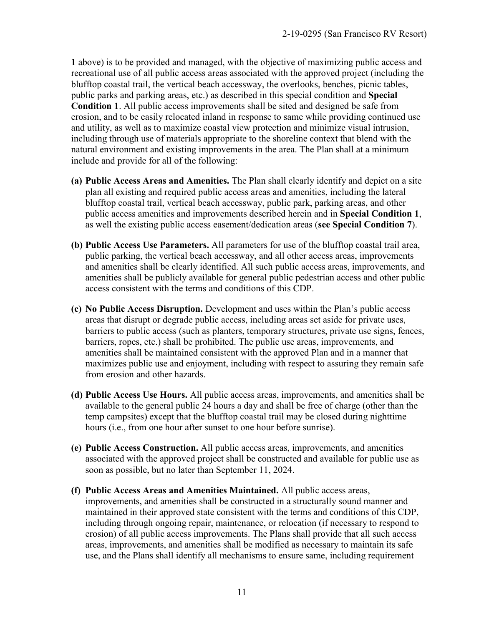**1** above) is to be provided and managed, with the objective of maximizing public access and recreational use of all public access areas associated with the approved project (including the blufftop coastal trail, the vertical beach accessway, the overlooks, benches, picnic tables, public parks and parking areas, etc.) as described in this special condition and **Special Condition 1**. All public access improvements shall be sited and designed be safe from erosion, and to be easily relocated inland in response to same while providing continued use and utility, as well as to maximize coastal view protection and minimize visual intrusion, including through use of materials appropriate to the shoreline context that blend with the natural environment and existing improvements in the area. The Plan shall at a minimum include and provide for all of the following:

- **(a) Public Access Areas and Amenities.** The Plan shall clearly identify and depict on a site plan all existing and required public access areas and amenities, including the lateral blufftop coastal trail, vertical beach accessway, public park, parking areas, and other public access amenities and improvements described herein and in **Special Condition 1**, as well the existing public access easement/dedication areas (**see Special Condition 7**).
- **(b) Public Access Use Parameters.** All parameters for use of the blufftop coastal trail area, public parking, the vertical beach accessway, and all other access areas, improvements and amenities shall be clearly identified. All such public access areas, improvements, and amenities shall be publicly available for general public pedestrian access and other public access consistent with the terms and conditions of this CDP.
- **(c) No Public Access Disruption.** Development and uses within the Plan's public access areas that disrupt or degrade public access, including areas set aside for private uses, barriers to public access (such as planters, temporary structures, private use signs, fences, barriers, ropes, etc.) shall be prohibited. The public use areas, improvements, and amenities shall be maintained consistent with the approved Plan and in a manner that maximizes public use and enjoyment, including with respect to assuring they remain safe from erosion and other hazards.
- **(d) Public Access Use Hours.** All public access areas, improvements, and amenities shall be available to the general public 24 hours a day and shall be free of charge (other than the temp campsites) except that the blufftop coastal trail may be closed during nighttime hours (i.e., from one hour after sunset to one hour before sunrise).
- **(e) Public Access Construction.** All public access areas, improvements, and amenities associated with the approved project shall be constructed and available for public use as soon as possible, but no later than September 11, 2024.
- **(f) Public Access Areas and Amenities Maintained.** All public access areas, improvements, and amenities shall be constructed in a structurally sound manner and maintained in their approved state consistent with the terms and conditions of this CDP, including through ongoing repair, maintenance, or relocation (if necessary to respond to erosion) of all public access improvements. The Plans shall provide that all such access areas, improvements, and amenities shall be modified as necessary to maintain its safe use, and the Plans shall identify all mechanisms to ensure same, including requirement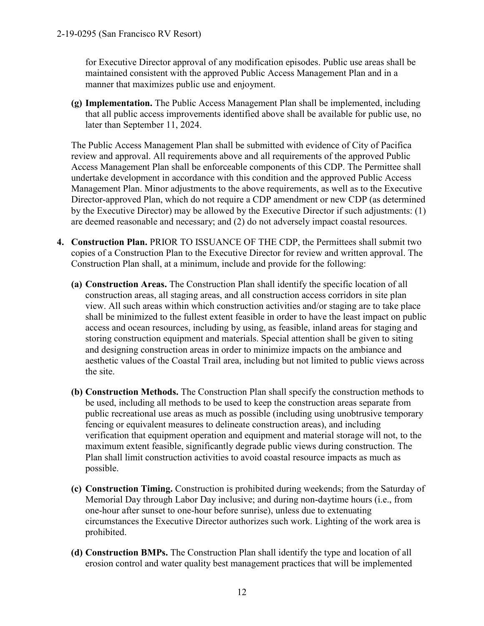for Executive Director approval of any modification episodes. Public use areas shall be maintained consistent with the approved Public Access Management Plan and in a manner that maximizes public use and enjoyment.

**(g) Implementation.** The Public Access Management Plan shall be implemented, including that all public access improvements identified above shall be available for public use, no later than September 11, 2024.

The Public Access Management Plan shall be submitted with evidence of City of Pacifica review and approval. All requirements above and all requirements of the approved Public Access Management Plan shall be enforceable components of this CDP. The Permittee shall undertake development in accordance with this condition and the approved Public Access Management Plan. Minor adjustments to the above requirements, as well as to the Executive Director-approved Plan, which do not require a CDP amendment or new CDP (as determined by the Executive Director) may be allowed by the Executive Director if such adjustments: (1) are deemed reasonable and necessary; and (2) do not adversely impact coastal resources.

- **4. Construction Plan.** PRIOR TO ISSUANCE OF THE CDP, the Permittees shall submit two copies of a Construction Plan to the Executive Director for review and written approval. The Construction Plan shall, at a minimum, include and provide for the following:
	- **(a) Construction Areas.** The Construction Plan shall identify the specific location of all construction areas, all staging areas, and all construction access corridors in site plan view. All such areas within which construction activities and/or staging are to take place shall be minimized to the fullest extent feasible in order to have the least impact on public access and ocean resources, including by using, as feasible, inland areas for staging and storing construction equipment and materials. Special attention shall be given to siting and designing construction areas in order to minimize impacts on the ambiance and aesthetic values of the Coastal Trail area, including but not limited to public views across the site.
	- **(b) Construction Methods.** The Construction Plan shall specify the construction methods to be used, including all methods to be used to keep the construction areas separate from public recreational use areas as much as possible (including using unobtrusive temporary fencing or equivalent measures to delineate construction areas), and including verification that equipment operation and equipment and material storage will not, to the maximum extent feasible, significantly degrade public views during construction. The Plan shall limit construction activities to avoid coastal resource impacts as much as possible.
	- **(c) Construction Timing.** Construction is prohibited during weekends; from the Saturday of Memorial Day through Labor Day inclusive; and during non-daytime hours (i.e., from one-hour after sunset to one-hour before sunrise), unless due to extenuating circumstances the Executive Director authorizes such work. Lighting of the work area is prohibited.
	- **(d) Construction BMPs.** The Construction Plan shall identify the type and location of all erosion control and water quality best management practices that will be implemented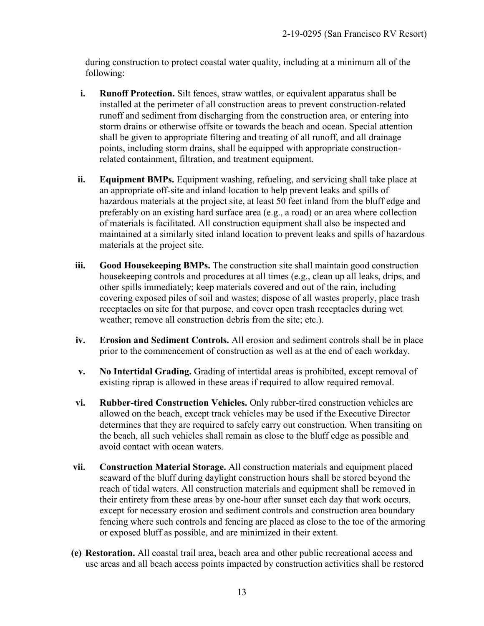during construction to protect coastal water quality, including at a minimum all of the following:

- **i. Runoff Protection.** Silt fences, straw wattles, or equivalent apparatus shall be installed at the perimeter of all construction areas to prevent construction-related runoff and sediment from discharging from the construction area, or entering into storm drains or otherwise offsite or towards the beach and ocean. Special attention shall be given to appropriate filtering and treating of all runoff, and all drainage points, including storm drains, shall be equipped with appropriate constructionrelated containment, filtration, and treatment equipment.
- **ii. Equipment BMPs.** Equipment washing, refueling, and servicing shall take place at an appropriate off-site and inland location to help prevent leaks and spills of hazardous materials at the project site, at least 50 feet inland from the bluff edge and preferably on an existing hard surface area (e.g., a road) or an area where collection of materials is facilitated. All construction equipment shall also be inspected and maintained at a similarly sited inland location to prevent leaks and spills of hazardous materials at the project site.
- **iii. Good Housekeeping BMPs.** The construction site shall maintain good construction housekeeping controls and procedures at all times (e.g., clean up all leaks, drips, and other spills immediately; keep materials covered and out of the rain, including covering exposed piles of soil and wastes; dispose of all wastes properly, place trash receptacles on site for that purpose, and cover open trash receptacles during wet weather; remove all construction debris from the site; etc.).
- **iv. Erosion and Sediment Controls.** All erosion and sediment controls shall be in place prior to the commencement of construction as well as at the end of each workday.
- **v. No Intertidal Grading.** Grading of intertidal areas is prohibited, except removal of existing riprap is allowed in these areas if required to allow required removal.
- **vi. Rubber-tired Construction Vehicles.** Only rubber-tired construction vehicles are allowed on the beach, except track vehicles may be used if the Executive Director determines that they are required to safely carry out construction. When transiting on the beach, all such vehicles shall remain as close to the bluff edge as possible and avoid contact with ocean waters.
- **vii. Construction Material Storage.** All construction materials and equipment placed seaward of the bluff during daylight construction hours shall be stored beyond the reach of tidal waters. All construction materials and equipment shall be removed in their entirety from these areas by one-hour after sunset each day that work occurs, except for necessary erosion and sediment controls and construction area boundary fencing where such controls and fencing are placed as close to the toe of the armoring or exposed bluff as possible, and are minimized in their extent.
- **(e) Restoration.** All coastal trail area, beach area and other public recreational access and use areas and all beach access points impacted by construction activities shall be restored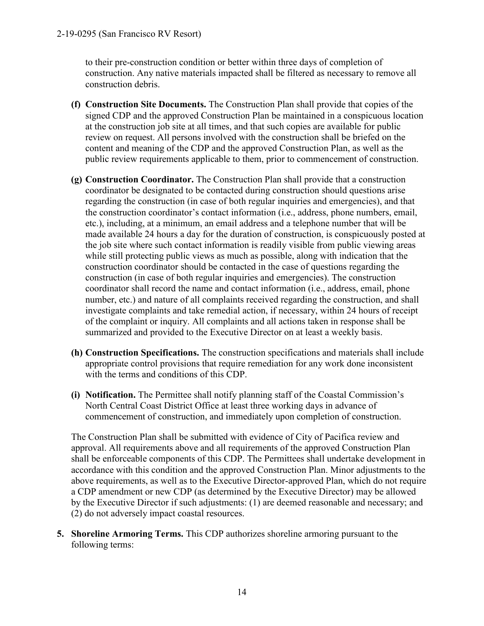to their pre-construction condition or better within three days of completion of construction. Any native materials impacted shall be filtered as necessary to remove all construction debris.

- **(f) Construction Site Documents.** The Construction Plan shall provide that copies of the signed CDP and the approved Construction Plan be maintained in a conspicuous location at the construction job site at all times, and that such copies are available for public review on request. All persons involved with the construction shall be briefed on the content and meaning of the CDP and the approved Construction Plan, as well as the public review requirements applicable to them, prior to commencement of construction.
- **(g) Construction Coordinator.** The Construction Plan shall provide that a construction coordinator be designated to be contacted during construction should questions arise regarding the construction (in case of both regular inquiries and emergencies), and that the construction coordinator's contact information (i.e., address, phone numbers, email, etc.), including, at a minimum, an email address and a telephone number that will be made available 24 hours a day for the duration of construction, is conspicuously posted at the job site where such contact information is readily visible from public viewing areas while still protecting public views as much as possible, along with indication that the construction coordinator should be contacted in the case of questions regarding the construction (in case of both regular inquiries and emergencies). The construction coordinator shall record the name and contact information (i.e., address, email, phone number, etc.) and nature of all complaints received regarding the construction, and shall investigate complaints and take remedial action, if necessary, within 24 hours of receipt of the complaint or inquiry. All complaints and all actions taken in response shall be summarized and provided to the Executive Director on at least a weekly basis.
- **(h) Construction Specifications.** The construction specifications and materials shall include appropriate control provisions that require remediation for any work done inconsistent with the terms and conditions of this CDP.
- **(i) Notification.** The Permittee shall notify planning staff of the Coastal Commission's North Central Coast District Office at least three working days in advance of commencement of construction, and immediately upon completion of construction.

The Construction Plan shall be submitted with evidence of City of Pacifica review and approval. All requirements above and all requirements of the approved Construction Plan shall be enforceable components of this CDP. The Permittees shall undertake development in accordance with this condition and the approved Construction Plan. Minor adjustments to the above requirements, as well as to the Executive Director-approved Plan, which do not require a CDP amendment or new CDP (as determined by the Executive Director) may be allowed by the Executive Director if such adjustments: (1) are deemed reasonable and necessary; and (2) do not adversely impact coastal resources.

**5. Shoreline Armoring Terms.** This CDP authorizes shoreline armoring pursuant to the following terms: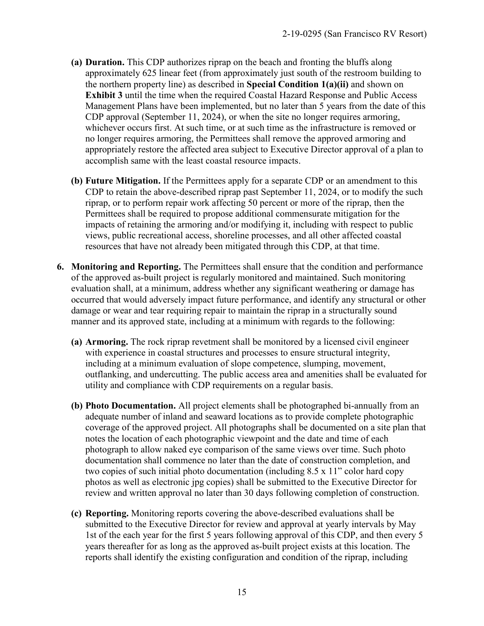- **(a) Duration.** This CDP authorizes riprap on the beach and fronting the bluffs along approximately 625 linear feet (from approximately just south of the restroom building to the northern property line) as described in **Special Condition 1(a)(ii)** and shown on **Exhibit 3** until the time when the required Coastal Hazard Response and Public Access Management Plans have been implemented, but no later than 5 years from the date of this CDP approval (September 11, 2024), or when the site no longer requires armoring, whichever occurs first. At such time, or at such time as the infrastructure is removed or no longer requires armoring, the Permittees shall remove the approved armoring and appropriately restore the affected area subject to Executive Director approval of a plan to accomplish same with the least coastal resource impacts.
- **(b) Future Mitigation.** If the Permittees apply for a separate CDP or an amendment to this CDP to retain the above-described riprap past September 11, 2024, or to modify the such riprap, or to perform repair work affecting 50 percent or more of the riprap, then the Permittees shall be required to propose additional commensurate mitigation for the impacts of retaining the armoring and/or modifying it, including with respect to public views, public recreational access, shoreline processes, and all other affected coastal resources that have not already been mitigated through this CDP, at that time.
- **6. Monitoring and Reporting.** The Permittees shall ensure that the condition and performance of the approved as-built project is regularly monitored and maintained. Such monitoring evaluation shall, at a minimum, address whether any significant weathering or damage has occurred that would adversely impact future performance, and identify any structural or other damage or wear and tear requiring repair to maintain the riprap in a structurally sound manner and its approved state, including at a minimum with regards to the following:
	- **(a) Armoring.** The rock riprap revetment shall be monitored by a licensed civil engineer with experience in coastal structures and processes to ensure structural integrity, including at a minimum evaluation of slope competence, slumping, movement, outflanking, and undercutting. The public access area and amenities shall be evaluated for utility and compliance with CDP requirements on a regular basis.
	- **(b) Photo Documentation.** All project elements shall be photographed bi-annually from an adequate number of inland and seaward locations as to provide complete photographic coverage of the approved project. All photographs shall be documented on a site plan that notes the location of each photographic viewpoint and the date and time of each photograph to allow naked eye comparison of the same views over time. Such photo documentation shall commence no later than the date of construction completion, and two copies of such initial photo documentation (including 8.5 x 11" color hard copy photos as well as electronic jpg copies) shall be submitted to the Executive Director for review and written approval no later than 30 days following completion of construction.
	- **(c) Reporting.** Monitoring reports covering the above-described evaluations shall be submitted to the Executive Director for review and approval at yearly intervals by May 1st of the each year for the first 5 years following approval of this CDP, and then every 5 years thereafter for as long as the approved as-built project exists at this location. The reports shall identify the existing configuration and condition of the riprap, including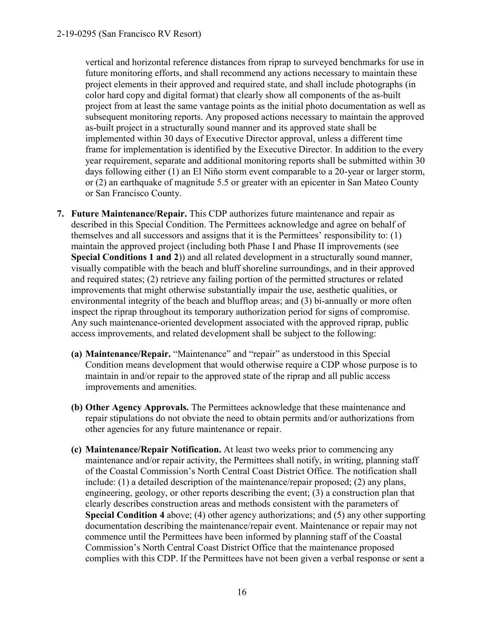vertical and horizontal reference distances from riprap to surveyed benchmarks for use in future monitoring efforts, and shall recommend any actions necessary to maintain these project elements in their approved and required state, and shall include photographs (in color hard copy and digital format) that clearly show all components of the as-built project from at least the same vantage points as the initial photo documentation as well as subsequent monitoring reports. Any proposed actions necessary to maintain the approved as-built project in a structurally sound manner and its approved state shall be implemented within 30 days of Executive Director approval, unless a different time frame for implementation is identified by the Executive Director. In addition to the every year requirement, separate and additional monitoring reports shall be submitted within 30 days following either (1) an El Niño storm event comparable to a 20-year or larger storm, or (2) an earthquake of magnitude 5.5 or greater with an epicenter in San Mateo County or San Francisco County.

- **7. Future Maintenance/Repair.** This CDP authorizes future maintenance and repair as described in this Special Condition. The Permittees acknowledge and agree on behalf of themselves and all successors and assigns that it is the Permittees' responsibility to: (1) maintain the approved project (including both Phase I and Phase II improvements (see **Special Conditions 1 and 2**)) and all related development in a structurally sound manner, visually compatible with the beach and bluff shoreline surroundings, and in their approved and required states; (2) retrieve any failing portion of the permitted structures or related improvements that might otherwise substantially impair the use, aesthetic qualities, or environmental integrity of the beach and blufftop areas; and (3) bi-annually or more often inspect the riprap throughout its temporary authorization period for signs of compromise. Any such maintenance-oriented development associated with the approved riprap, public access improvements, and related development shall be subject to the following:
	- **(a) Maintenance/Repair.** "Maintenance" and "repair" as understood in this Special Condition means development that would otherwise require a CDP whose purpose is to maintain in and/or repair to the approved state of the riprap and all public access improvements and amenities.
	- **(b) Other Agency Approvals.** The Permittees acknowledge that these maintenance and repair stipulations do not obviate the need to obtain permits and/or authorizations from other agencies for any future maintenance or repair.
	- **(c) Maintenance/Repair Notification.** At least two weeks prior to commencing any maintenance and/or repair activity, the Permittees shall notify, in writing, planning staff of the Coastal Commission's North Central Coast District Office. The notification shall include: (1) a detailed description of the maintenance/repair proposed; (2) any plans, engineering, geology, or other reports describing the event; (3) a construction plan that clearly describes construction areas and methods consistent with the parameters of **Special Condition 4** above; (4) other agency authorizations; and (5) any other supporting documentation describing the maintenance/repair event. Maintenance or repair may not commence until the Permittees have been informed by planning staff of the Coastal Commission's North Central Coast District Office that the maintenance proposed complies with this CDP. If the Permittees have not been given a verbal response or sent a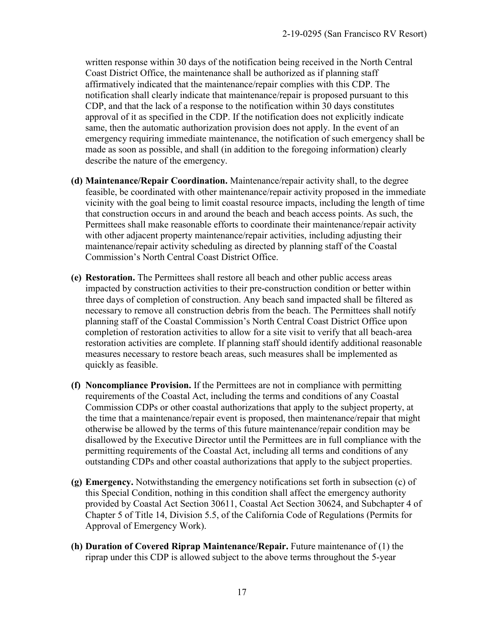written response within 30 days of the notification being received in the North Central Coast District Office, the maintenance shall be authorized as if planning staff affirmatively indicated that the maintenance/repair complies with this CDP. The notification shall clearly indicate that maintenance/repair is proposed pursuant to this CDP, and that the lack of a response to the notification within 30 days constitutes approval of it as specified in the CDP. If the notification does not explicitly indicate same, then the automatic authorization provision does not apply. In the event of an emergency requiring immediate maintenance, the notification of such emergency shall be made as soon as possible, and shall (in addition to the foregoing information) clearly describe the nature of the emergency.

- **(d) Maintenance/Repair Coordination.** Maintenance/repair activity shall, to the degree feasible, be coordinated with other maintenance/repair activity proposed in the immediate vicinity with the goal being to limit coastal resource impacts, including the length of time that construction occurs in and around the beach and beach access points. As such, the Permittees shall make reasonable efforts to coordinate their maintenance/repair activity with other adjacent property maintenance/repair activities, including adjusting their maintenance/repair activity scheduling as directed by planning staff of the Coastal Commission's North Central Coast District Office.
- **(e) Restoration.** The Permittees shall restore all beach and other public access areas impacted by construction activities to their pre-construction condition or better within three days of completion of construction. Any beach sand impacted shall be filtered as necessary to remove all construction debris from the beach. The Permittees shall notify planning staff of the Coastal Commission's North Central Coast District Office upon completion of restoration activities to allow for a site visit to verify that all beach-area restoration activities are complete. If planning staff should identify additional reasonable measures necessary to restore beach areas, such measures shall be implemented as quickly as feasible.
- **(f) Noncompliance Provision.** If the Permittees are not in compliance with permitting requirements of the Coastal Act, including the terms and conditions of any Coastal Commission CDPs or other coastal authorizations that apply to the subject property, at the time that a maintenance/repair event is proposed, then maintenance/repair that might otherwise be allowed by the terms of this future maintenance/repair condition may be disallowed by the Executive Director until the Permittees are in full compliance with the permitting requirements of the Coastal Act, including all terms and conditions of any outstanding CDPs and other coastal authorizations that apply to the subject properties.
- **(g) Emergency.** Notwithstanding the emergency notifications set forth in subsection (c) of this Special Condition, nothing in this condition shall affect the emergency authority provided by Coastal Act Section 30611, Coastal Act Section 30624, and Subchapter 4 of Chapter 5 of Title 14, Division 5.5, of the California Code of Regulations (Permits for Approval of Emergency Work).
- **(h) Duration of Covered Riprap Maintenance/Repair.** Future maintenance of (1) the riprap under this CDP is allowed subject to the above terms throughout the 5-year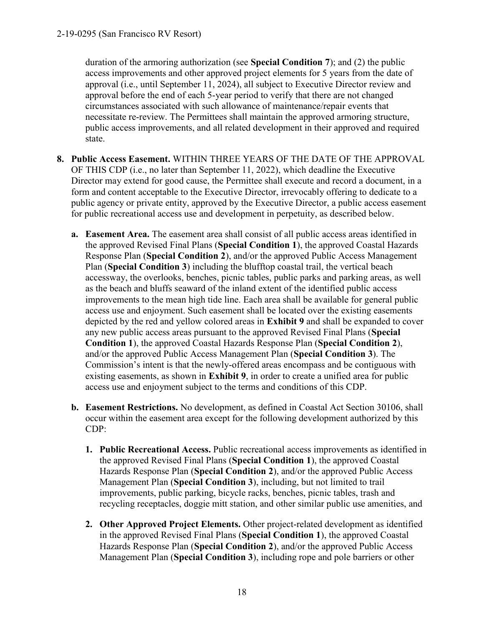duration of the armoring authorization (see **Special Condition 7**); and (2) the public access improvements and other approved project elements for 5 years from the date of approval (i.e., until September 11, 2024), all subject to Executive Director review and approval before the end of each 5-year period to verify that there are not changed circumstances associated with such allowance of maintenance/repair events that necessitate re-review. The Permittees shall maintain the approved armoring structure, public access improvements, and all related development in their approved and required state.

- **8. Public Access Easement.** WITHIN THREE YEARS OF THE DATE OF THE APPROVAL OF THIS CDP (i.e., no later than September 11, 2022), which deadline the Executive Director may extend for good cause, the Permittee shall execute and record a document, in a form and content acceptable to the Executive Director, irrevocably offering to dedicate to a public agency or private entity, approved by the Executive Director, a public access easement for public recreational access use and development in perpetuity, as described below.
	- **a. Easement Area.** The easement area shall consist of all public access areas identified in the approved Revised Final Plans (**Special Condition 1**), the approved Coastal Hazards Response Plan (**Special Condition 2**), and/or the approved Public Access Management Plan (**Special Condition 3**) including the blufftop coastal trail, the vertical beach accessway, the overlooks, benches, picnic tables, public parks and parking areas, as well as the beach and bluffs seaward of the inland extent of the identified public access improvements to the mean high tide line. Each area shall be available for general public access use and enjoyment. Such easement shall be located over the existing easements depicted by the red and yellow colored areas in **Exhibit 9** and shall be expanded to cover any new public access areas pursuant to the approved Revised Final Plans (**Special Condition 1**), the approved Coastal Hazards Response Plan (**Special Condition 2**), and/or the approved Public Access Management Plan (**Special Condition 3**). The Commission's intent is that the newly-offered areas encompass and be contiguous with existing easements, as shown in **Exhibit 9**, in order to create a unified area for public access use and enjoyment subject to the terms and conditions of this CDP.
	- **b. Easement Restrictions.** No development, as defined in Coastal Act Section 30106, shall occur within the easement area except for the following development authorized by this CDP:
		- **1. Public Recreational Access.** Public recreational access improvements as identified in the approved Revised Final Plans (**Special Condition 1**), the approved Coastal Hazards Response Plan (**Special Condition 2**), and/or the approved Public Access Management Plan (**Special Condition 3**), including, but not limited to trail improvements, public parking, bicycle racks, benches, picnic tables, trash and recycling receptacles, doggie mitt station, and other similar public use amenities, and
		- **2. Other Approved Project Elements.** Other project-related development as identified in the approved Revised Final Plans (**Special Condition 1**), the approved Coastal Hazards Response Plan (**Special Condition 2**), and/or the approved Public Access Management Plan (**Special Condition 3**), including rope and pole barriers or other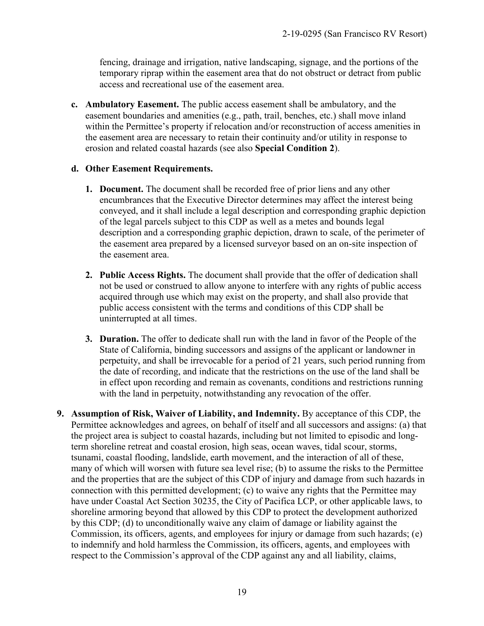fencing, drainage and irrigation, native landscaping, signage, and the portions of the temporary riprap within the easement area that do not obstruct or detract from public access and recreational use of the easement area.

**c. Ambulatory Easement.** The public access easement shall be ambulatory, and the easement boundaries and amenities (e.g., path, trail, benches, etc.) shall move inland within the Permittee's property if relocation and/or reconstruction of access amenities in the easement area are necessary to retain their continuity and/or utility in response to erosion and related coastal hazards (see also **Special Condition 2**).

#### **d. Other Easement Requirements.**

- **1. Document.** The document shall be recorded free of prior liens and any other encumbrances that the Executive Director determines may affect the interest being conveyed, and it shall include a legal description and corresponding graphic depiction of the legal parcels subject to this CDP as well as a metes and bounds legal description and a corresponding graphic depiction, drawn to scale, of the perimeter of the easement area prepared by a licensed surveyor based on an on-site inspection of the easement area.
- **2. Public Access Rights.** The document shall provide that the offer of dedication shall not be used or construed to allow anyone to interfere with any rights of public access acquired through use which may exist on the property, and shall also provide that public access consistent with the terms and conditions of this CDP shall be uninterrupted at all times.
- **3. Duration.** The offer to dedicate shall run with the land in favor of the People of the State of California, binding successors and assigns of the applicant or landowner in perpetuity, and shall be irrevocable for a period of 21 years, such period running from the date of recording, and indicate that the restrictions on the use of the land shall be in effect upon recording and remain as covenants, conditions and restrictions running with the land in perpetuity, notwithstanding any revocation of the offer.
- **9. Assumption of Risk, Waiver of Liability, and Indemnity.** By acceptance of this CDP, the Permittee acknowledges and agrees, on behalf of itself and all successors and assigns: (a) that the project area is subject to coastal hazards, including but not limited to episodic and longterm shoreline retreat and coastal erosion, high seas, ocean waves, tidal scour, storms, tsunami, coastal flooding, landslide, earth movement, and the interaction of all of these, many of which will worsen with future sea level rise; (b) to assume the risks to the Permittee and the properties that are the subject of this CDP of injury and damage from such hazards in connection with this permitted development; (c) to waive any rights that the Permittee may have under Coastal Act Section 30235, the City of Pacifica LCP, or other applicable laws, to shoreline armoring beyond that allowed by this CDP to protect the development authorized by this CDP; (d) to unconditionally waive any claim of damage or liability against the Commission, its officers, agents, and employees for injury or damage from such hazards; (e) to indemnify and hold harmless the Commission, its officers, agents, and employees with respect to the Commission's approval of the CDP against any and all liability, claims,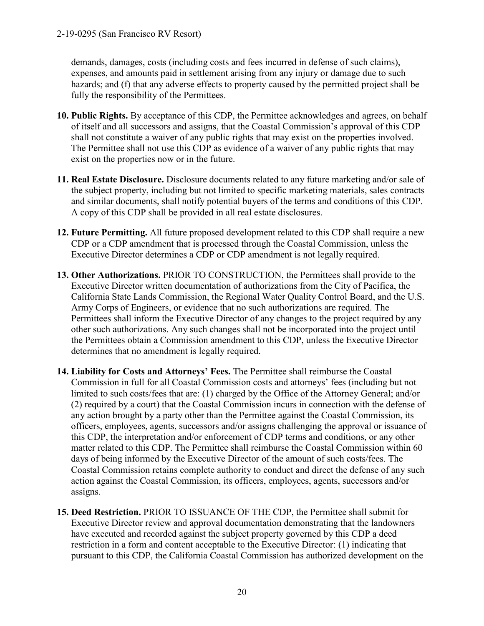demands, damages, costs (including costs and fees incurred in defense of such claims), expenses, and amounts paid in settlement arising from any injury or damage due to such hazards; and (f) that any adverse effects to property caused by the permitted project shall be fully the responsibility of the Permittees.

- **10. Public Rights.** By acceptance of this CDP, the Permittee acknowledges and agrees, on behalf of itself and all successors and assigns, that the Coastal Commission's approval of this CDP shall not constitute a waiver of any public rights that may exist on the properties involved. The Permittee shall not use this CDP as evidence of a waiver of any public rights that may exist on the properties now or in the future.
- **11. Real Estate Disclosure.** Disclosure documents related to any future marketing and/or sale of the subject property, including but not limited to specific marketing materials, sales contracts and similar documents, shall notify potential buyers of the terms and conditions of this CDP. A copy of this CDP shall be provided in all real estate disclosures.
- **12. Future Permitting.** All future proposed development related to this CDP shall require a new CDP or a CDP amendment that is processed through the Coastal Commission, unless the Executive Director determines a CDP or CDP amendment is not legally required.
- **13. Other Authorizations.** PRIOR TO CONSTRUCTION, the Permittees shall provide to the Executive Director written documentation of authorizations from the City of Pacifica, the California State Lands Commission, the Regional Water Quality Control Board, and the U.S. Army Corps of Engineers, or evidence that no such authorizations are required. The Permittees shall inform the Executive Director of any changes to the project required by any other such authorizations. Any such changes shall not be incorporated into the project until the Permittees obtain a Commission amendment to this CDP, unless the Executive Director determines that no amendment is legally required.
- **14. Liability for Costs and Attorneys' Fees.** The Permittee shall reimburse the Coastal Commission in full for all Coastal Commission costs and attorneys' fees (including but not limited to such costs/fees that are: (1) charged by the Office of the Attorney General; and/or (2) required by a court) that the Coastal Commission incurs in connection with the defense of any action brought by a party other than the Permittee against the Coastal Commission, its officers, employees, agents, successors and/or assigns challenging the approval or issuance of this CDP, the interpretation and/or enforcement of CDP terms and conditions, or any other matter related to this CDP. The Permittee shall reimburse the Coastal Commission within 60 days of being informed by the Executive Director of the amount of such costs/fees. The Coastal Commission retains complete authority to conduct and direct the defense of any such action against the Coastal Commission, its officers, employees, agents, successors and/or assigns.
- **15. Deed Restriction.** PRIOR TO ISSUANCE OF THE CDP, the Permittee shall submit for Executive Director review and approval documentation demonstrating that the landowners have executed and recorded against the subject property governed by this CDP a deed restriction in a form and content acceptable to the Executive Director: (1) indicating that pursuant to this CDP, the California Coastal Commission has authorized development on the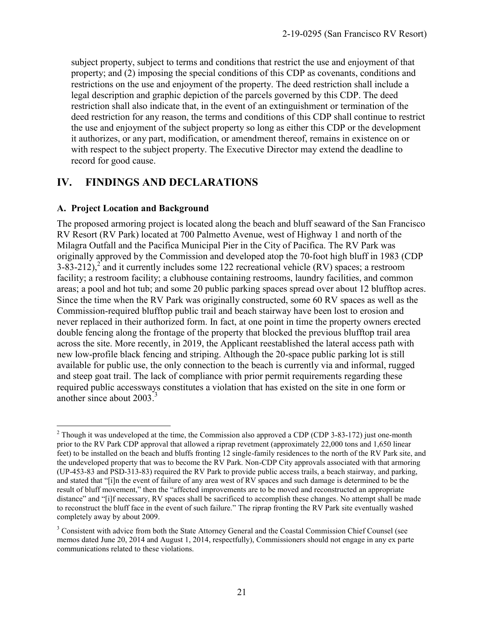subject property, subject to terms and conditions that restrict the use and enjoyment of that property; and (2) imposing the special conditions of this CDP as covenants, conditions and restrictions on the use and enjoyment of the property. The deed restriction shall include a legal description and graphic depiction of the parcels governed by this CDP. The deed restriction shall also indicate that, in the event of an extinguishment or termination of the deed restriction for any reason, the terms and conditions of this CDP shall continue to restrict the use and enjoyment of the subject property so long as either this CDP or the development it authorizes, or any part, modification, or amendment thereof, remains in existence on or with respect to the subject property. The Executive Director may extend the deadline to record for good cause.

## **IV. FINDINGS AND DECLARATIONS**

#### **A. Project Location and Background**

The proposed armoring project is located along the beach and bluff seaward of the San Francisco RV Resort (RV Park) located at 700 Palmetto Avenue, west of Highway 1 and north of the Milagra Outfall and the Pacifica Municipal Pier in the City of Pacifica. The RV Park was originally approved by the Commission and developed atop the 70-foot high bluff in 1983 (CDP 3-83-212),<sup>2</sup> and it currently includes some 122 recreational vehicle (RV) spaces; a restroom facility; a restroom facility; a clubhouse containing restrooms, laundry facilities, and common areas; a pool and hot tub; and some 20 public parking spaces spread over about 12 blufftop acres. Since the time when the RV Park was originally constructed, some 60 RV spaces as well as the Commission-required blufftop public trail and beach stairway have been lost to erosion and never replaced in their authorized form. In fact, at one point in time the property owners erected double fencing along the frontage of the property that blocked the previous blufftop trail area across the site. More recently, in 2019, the Applicant reestablished the lateral access path with new low-profile black fencing and striping. Although the 20-space public parking lot is still available for public use, the only connection to the beach is currently via and informal, rugged and steep goat trail. The lack of compliance with prior permit requirements regarding these required public accessways constitutes a violation that has existed on the site in one form or another since about  $2003<sup>3</sup>$ 

 $\overline{a}$ <sup>2</sup> Though it was undeveloped at the time, the Commission also approved a CDP (CDP 3-83-172) just one-month prior to the RV Park CDP approval that allowed a riprap revetment (approximately 22,000 tons and 1,650 linear feet) to be installed on the beach and bluffs fronting 12 single-family residences to the north of the RV Park site, and the undeveloped property that was to become the RV Park. Non-CDP City approvals associated with that armoring (UP-453-83 and PSD-313-83) required the RV Park to provide public access trails, a beach stairway, and parking, and stated that "[i]n the event of failure of any area west of RV spaces and such damage is determined to be the result of bluff movement," then the "affected improvements are to be moved and reconstructed an appropriate distance" and "[i]f necessary, RV spaces shall be sacrificed to accomplish these changes. No attempt shall be made to reconstruct the bluff face in the event of such failure." The riprap fronting the RV Park site eventually washed completely away by about 2009.

<sup>&</sup>lt;sup>3</sup> Consistent with advice from both the State Attorney General and the Coastal Commission Chief Counsel (see memos dated June 20, 2014 and August 1, 2014, respectfully), Commissioners should not engage in any ex parte communications related to these violations.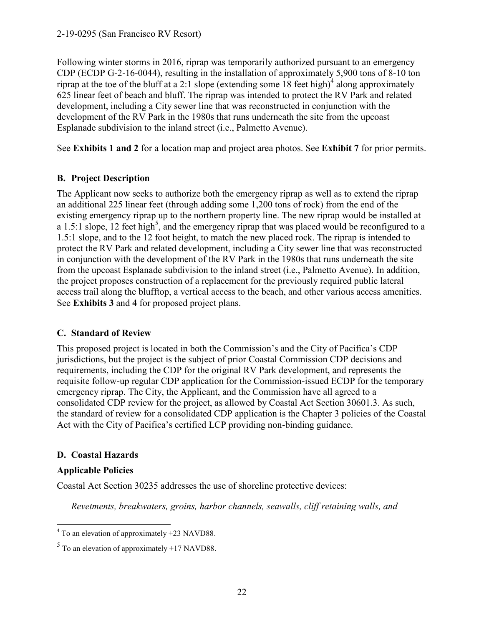Following winter storms in 2016, riprap was temporarily authorized pursuant to an emergency CDP (ECDP G-2-16-0044), resulting in the installation of approximately 5,900 tons of 8-10 ton riprap at the toe of the bluff at a 2:1 slope (extending some  $\frac{18}{18}$  feet high)<sup>4</sup> along approximately 625 linear feet of beach and bluff. The riprap was intended to protect the RV Park and related development, including a City sewer line that was reconstructed in conjunction with the development of the RV Park in the 1980s that runs underneath the site from the upcoast Esplanade subdivision to the inland street (i.e., Palmetto Avenue).

See **Exhibits 1 and 2** for a location map and project area photos. See **Exhibit 7** for prior permits.

### **B. Project Description**

The Applicant now seeks to authorize both the emergency riprap as well as to extend the riprap an additional 225 linear feet (through adding some 1,200 tons of rock) from the end of the existing emergency riprap up to the northern property line. The new riprap would be installed at a 1.5:1 slope,  $12$  feet high<sup>5</sup>, and the emergency riprap that was placed would be reconfigured to a 1.5:1 slope, and to the 12 foot height, to match the new placed rock. The riprap is intended to protect the RV Park and related development, including a City sewer line that was reconstructed in conjunction with the development of the RV Park in the 1980s that runs underneath the site from the upcoast Esplanade subdivision to the inland street (i.e., Palmetto Avenue). In addition, the project proposes construction of a replacement for the previously required public lateral access trail along the blufftop, a vertical access to the beach, and other various access amenities. See **Exhibits 3** and **4** for proposed project plans.

#### **C. Standard of Review**

This proposed project is located in both the Commission's and the City of Pacifica's CDP jurisdictions, but the project is the subject of prior Coastal Commission CDP decisions and requirements, including the CDP for the original RV Park development, and represents the requisite follow-up regular CDP application for the Commission-issued ECDP for the temporary emergency riprap. The City, the Applicant, and the Commission have all agreed to a consolidated CDP review for the project, as allowed by Coastal Act Section 30601.3. As such, the standard of review for a consolidated CDP application is the Chapter 3 policies of the Coastal Act with the City of Pacifica's certified LCP providing non-binding guidance.

#### **D. Coastal Hazards**

#### **Applicable Policies**

Coastal Act Section 30235 addresses the use of shoreline protective devices:

*Revetments, breakwaters, groins, harbor channels, seawalls, cliff retaining walls, and* 

 4 To an elevation of approximately +23 NAVD88.

 $<sup>5</sup>$  To an elevation of approximately +17 NAVD88.</sup>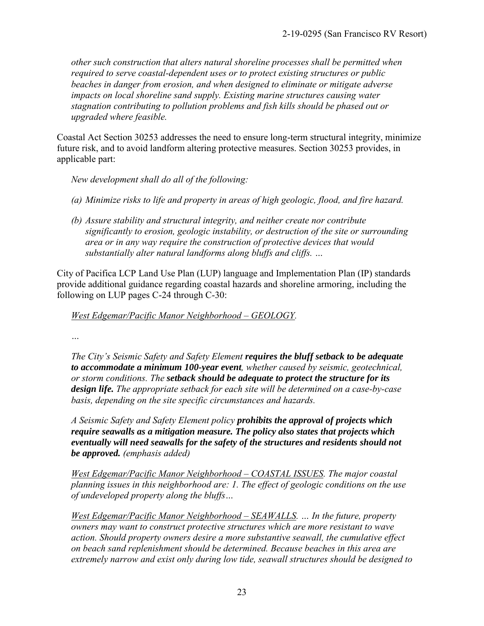*other such construction that alters natural shoreline processes shall be permitted when required to serve coastal-dependent uses or to protect existing structures or public beaches in danger from erosion, and when designed to eliminate or mitigate adverse impacts on local shoreline sand supply. Existing marine structures causing water stagnation contributing to pollution problems and fish kills should be phased out or upgraded where feasible.* 

Coastal Act Section 30253 addresses the need to ensure long-term structural integrity, minimize future risk, and to avoid landform altering protective measures. Section 30253 provides, in applicable part:

*New development shall do all of the following:* 

- *(a) Minimize risks to life and property in areas of high geologic, flood, and fire hazard.*
- *(b) Assure stability and structural integrity, and neither create nor contribute significantly to erosion, geologic instability, or destruction of the site or surrounding area or in any way require the construction of protective devices that would substantially alter natural landforms along bluffs and cliffs. …*

City of Pacifica LCP Land Use Plan (LUP) language and Implementation Plan (IP) standards provide additional guidance regarding coastal hazards and shoreline armoring, including the following on LUP pages C-24 through C-30:

*West Edgemar/Pacific Manor Neighborhood – GEOLOGY.* 

*…* 

*The City's Seismic Safety and Safety Element requires the bluff setback to be adequate to accommodate a minimum 100-year event, whether caused by seismic, geotechnical, or storm conditions. The setback should be adequate to protect the structure for its design life. The appropriate setback for each site will be determined on a case-by-case basis, depending on the site specific circumstances and hazards.* 

*A Seismic Safety and Safety Element policy prohibits the approval of projects which require seawalls as a mitigation measure. The policy also states that projects which eventually will need seawalls for the safety of the structures and residents should not be approved. (emphasis added)* 

*West Edgemar/Pacific Manor Neighborhood – COASTAL ISSUES. The major coastal planning issues in this neighborhood are: 1. The effect of geologic conditions on the use of undeveloped property along the bluffs…* 

*West Edgemar/Pacific Manor Neighborhood – SEAWALLS. … In the future, property owners may want to construct protective structures which are more resistant to wave action. Should property owners desire a more substantive seawall, the cumulative effect on beach sand replenishment should be determined. Because beaches in this area are extremely narrow and exist only during low tide, seawall structures should be designed to*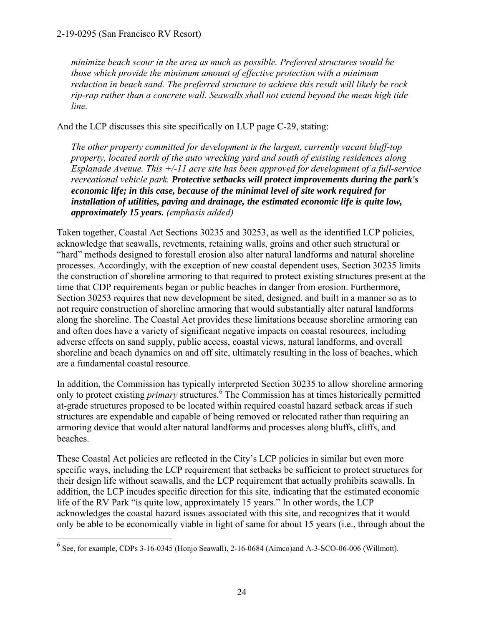*minimize beach scour in the area as much as possible. Preferred structures would be those which provide the minimum amount of effective protection with a minimum reduction in beach sand. The preferred structure to achieve this result will likely be rock rip-rap rather than a concrete wall. Seawalls shall not extend beyond the mean high tide line.* 

And the LCP discusses this site specifically on LUP page C-29, stating:

*The other property committed for development is the largest, currently vacant bluff-top property, located north of the auto wrecking yard and south of existing residences along Esplanade Avenue. This +/-11 acre site has been approved for development of a full-service recreational vehicle park. Protective setbacks will protect improvements during the park's economic life; in this case, because of the minimal level of site work required for installation of utilities, paving and drainage, the estimated economic life is quite low, approximately 15 years. (emphasis added)* 

Taken together, Coastal Act Sections 30235 and 30253, as well as the identified LCP policies, acknowledge that seawalls, revetments, retaining walls, groins and other such structural or "hard" methods designed to forestall erosion also alter natural landforms and natural shoreline processes. Accordingly, with the exception of new coastal dependent uses, Section 30235 limits the construction of shoreline armoring to that required to protect existing structures present at the time that CDP requirements began or public beaches in danger from erosion. Furthermore, Section 30253 requires that new development be sited, designed, and built in a manner so as to not require construction of shoreline armoring that would substantially alter natural landforms along the shoreline. The Coastal Act provides these limitations because shoreline armoring can and often does have a variety of significant negative impacts on coastal resources, including adverse effects on sand supply, public access, coastal views, natural landforms, and overall shoreline and beach dynamics on and off site, ultimately resulting in the loss of beaches, which are a fundamental coastal resource.

In addition, the Commission has typically interpreted Section 30235 to allow shoreline armoring only to protect existing *primary* structures.<sup>6</sup> The Commission has at times historically permitted at-grade structures proposed to be located within required coastal hazard setback areas if such structures are expendable and capable of being removed or relocated rather than requiring an armoring device that would alter natural landforms and processes along bluffs, cliffs, and beaches.

These Coastal Act policies are reflected in the City's LCP policies in similar but even more specific ways, including the LCP requirement that setbacks be sufficient to protect structures for their design life without seawalls, and the LCP requirement that actually prohibits seawalls. In addition, the LCP incudes specific direction for this site, indicating that the estimated economic life of the RV Park "is quite low, approximately 15 years." In other words, the LCP acknowledges the coastal hazard issues associated with this site, and recognizes that it would only be able to be economically viable in light of same for about 15 years (i.e., through about the

 6 See, for example, CDPs 3-16-0345 (Honjo Seawall), 2-16-0684 (Aimco)and A-3-SCO-06-006 (Willmott).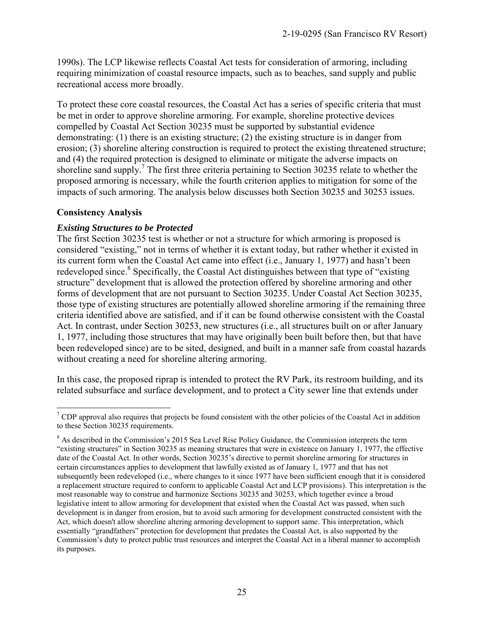1990s). The LCP likewise reflects Coastal Act tests for consideration of armoring, including requiring minimization of coastal resource impacts, such as to beaches, sand supply and public recreational access more broadly.

To protect these core coastal resources, the Coastal Act has a series of specific criteria that must be met in order to approve shoreline armoring. For example, shoreline protective devices compelled by Coastal Act Section 30235 must be supported by substantial evidence demonstrating: (1) there is an existing structure; (2) the existing structure is in danger from erosion; (3) shoreline altering construction is required to protect the existing threatened structure; and (4) the required protection is designed to eliminate or mitigate the adverse impacts on shoreline sand supply.<sup>7</sup> The first three criteria pertaining to Section 30235 relate to whether the proposed armoring is necessary, while the fourth criterion applies to mitigation for some of the impacts of such armoring. The analysis below discusses both Section 30235 and 30253 issues.

#### **Consistency Analysis**

#### *Existing Structures to be Protected*

The first Section 30235 test is whether or not a structure for which armoring is proposed is considered "existing," not in terms of whether it is extant today, but rather whether it existed in its current form when the Coastal Act came into effect (i.e., January 1, 1977) and hasn't been redeveloped since.<sup>8</sup> Specifically, the Coastal Act distinguishes between that type of "existing structure" development that is allowed the protection offered by shoreline armoring and other forms of development that are not pursuant to Section 30235. Under Coastal Act Section 30235, those type of existing structures are potentially allowed shoreline armoring if the remaining three criteria identified above are satisfied, and if it can be found otherwise consistent with the Coastal Act. In contrast, under Section 30253, new structures (i.e., all structures built on or after January 1, 1977, including those structures that may have originally been built before then, but that have been redeveloped since) are to be sited, designed, and built in a manner safe from coastal hazards without creating a need for shoreline altering armoring.

In this case, the proposed riprap is intended to protect the RV Park, its restroom building, and its related subsurface and surface development, and to protect a City sewer line that extends under

 $\overline{a}$ <sup>7</sup> CDP approval also requires that projects be found consistent with the other policies of the Coastal Act in addition to these Section 30235 requirements.

<sup>&</sup>lt;sup>8</sup> As described in the Commission's 2015 Sea Level Rise Policy Guidance, the Commission interprets the term "existing structures" in Section 30235 as meaning structures that were in existence on January 1, 1977, the effective date of the Coastal Act. In other words, Section 30235's directive to permit shoreline armoring for structures in certain circumstances applies to development that lawfully existed as of January 1, 1977 and that has not subsequently been redeveloped (i.e., where changes to it since 1977 have been sufficient enough that it is considered a replacement structure required to conform to applicable Coastal Act and LCP provisions). This interpretation is the most reasonable way to construe and harmonize Sections 30235 and 30253, which together evince a broad legislative intent to allow armoring for development that existed when the Coastal Act was passed, when such development is in danger from erosion, but to avoid such armoring for development constructed consistent with the Act, which doesn't allow shoreline altering armoring development to support same. This interpretation, which essentially "grandfathers" protection for development that predates the Coastal Act, is also supported by the Commission's duty to protect public trust resources and interpret the Coastal Act in a liberal manner to accomplish its purposes.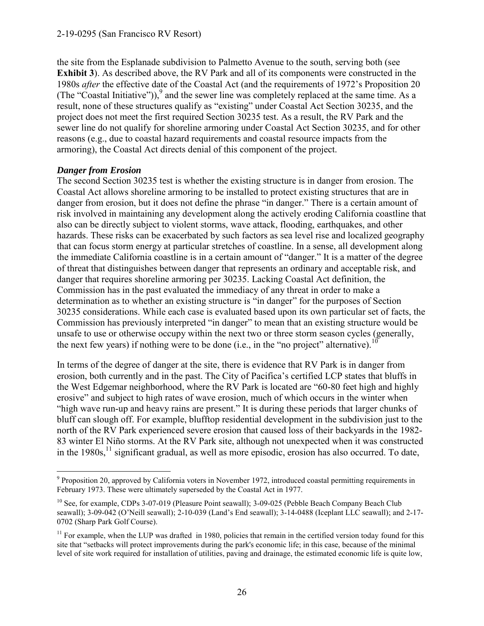#### 2-19-0295 (San Francisco RV Resort)

the site from the Esplanade subdivision to Palmetto Avenue to the south, serving both (see **Exhibit 3**). As described above, the RV Park and all of its components were constructed in the 1980s *after* the effective date of the Coastal Act (and the requirements of 1972's Proposition 20 (The "Coastal Initiative")), $9$  and the sewer line was completely replaced at the same time. As a result, none of these structures qualify as "existing" under Coastal Act Section 30235, and the project does not meet the first required Section 30235 test. As a result, the RV Park and the sewer line do not qualify for shoreline armoring under Coastal Act Section 30235, and for other reasons (e.g., due to coastal hazard requirements and coastal resource impacts from the armoring), the Coastal Act directs denial of this component of the project.

#### *Danger from Erosion*

 $\overline{a}$ 

The second Section 30235 test is whether the existing structure is in danger from erosion. The Coastal Act allows shoreline armoring to be installed to protect existing structures that are in danger from erosion, but it does not define the phrase "in danger." There is a certain amount of risk involved in maintaining any development along the actively eroding California coastline that also can be directly subject to violent storms, wave attack, flooding, earthquakes, and other hazards. These risks can be exacerbated by such factors as sea level rise and localized geography that can focus storm energy at particular stretches of coastline. In a sense, all development along the immediate California coastline is in a certain amount of "danger." It is a matter of the degree of threat that distinguishes between danger that represents an ordinary and acceptable risk, and danger that requires shoreline armoring per 30235. Lacking Coastal Act definition, the Commission has in the past evaluated the immediacy of any threat in order to make a determination as to whether an existing structure is "in danger" for the purposes of Section 30235 considerations. While each case is evaluated based upon its own particular set of facts, the Commission has previously interpreted "in danger" to mean that an existing structure would be unsafe to use or otherwise occupy within the next two or three storm season cycles (generally, the next few years) if nothing were to be done (i.e., in the "no project" alternative).<sup>1</sup>

In terms of the degree of danger at the site, there is evidence that RV Park is in danger from erosion, both currently and in the past. The City of Pacifica's certified LCP states that bluffs in the West Edgemar neighborhood, where the RV Park is located are "60-80 feet high and highly erosive" and subject to high rates of wave erosion, much of which occurs in the winter when "high wave run-up and heavy rains are present." It is during these periods that larger chunks of bluff can slough off. For example, blufftop residential development in the subdivision just to the north of the RV Park experienced severe erosion that caused loss of their backyards in the 1982- 83 winter El Niño storms. At the RV Park site, although not unexpected when it was constructed in the  $1980s$ ,<sup>11</sup> significant gradual, as well as more episodic, erosion has also occurred. To date,

<sup>&</sup>lt;sup>9</sup> Proposition 20, approved by California voters in November 1972, introduced coastal permitting requirements in February 1973. These were ultimately superseded by the Coastal Act in 1977.

<sup>&</sup>lt;sup>10</sup> See, for example, CDPs 3-07-019 (Pleasure Point seawall); 3-09-025 (Pebble Beach Company Beach Club seawall); 3-09-042 (O'Neill seawall); 2-10-039 (Land's End seawall); 3-14-0488 (Iceplant LLC seawall); and 2-17- 0702 (Sharp Park Golf Course).

 $11$  For example, when the LUP was drafted in 1980, policies that remain in the certified version today found for this site that "setbacks will protect improvements during the park's economic life; in this case, because of the minimal level of site work required for installation of utilities, paving and drainage, the estimated economic life is quite low,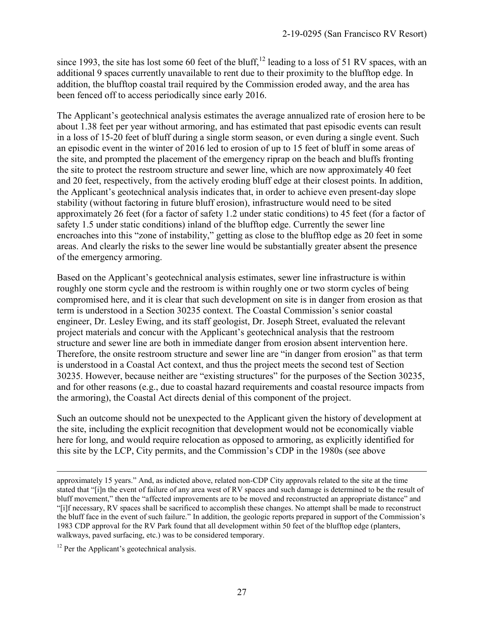since 1993, the site has lost some 60 feet of the bluff,<sup>12</sup> leading to a loss of 51 RV spaces, with an additional 9 spaces currently unavailable to rent due to their proximity to the blufftop edge. In addition, the blufftop coastal trail required by the Commission eroded away, and the area has been fenced off to access periodically since early 2016.

The Applicant's geotechnical analysis estimates the average annualized rate of erosion here to be about 1.38 feet per year without armoring, and has estimated that past episodic events can result in a loss of 15-20 feet of bluff during a single storm season, or even during a single event. Such an episodic event in the winter of 2016 led to erosion of up to 15 feet of bluff in some areas of the site, and prompted the placement of the emergency riprap on the beach and bluffs fronting the site to protect the restroom structure and sewer line, which are now approximately 40 feet and 20 feet, respectively, from the actively eroding bluff edge at their closest points. In addition, the Applicant's geotechnical analysis indicates that, in order to achieve even present-day slope stability (without factoring in future bluff erosion), infrastructure would need to be sited approximately 26 feet (for a factor of safety 1.2 under static conditions) to 45 feet (for a factor of safety 1.5 under static conditions) inland of the blufftop edge. Currently the sewer line encroaches into this "zone of instability," getting as close to the blufftop edge as 20 feet in some areas. And clearly the risks to the sewer line would be substantially greater absent the presence of the emergency armoring.

Based on the Applicant's geotechnical analysis estimates, sewer line infrastructure is within roughly one storm cycle and the restroom is within roughly one or two storm cycles of being compromised here, and it is clear that such development on site is in danger from erosion as that term is understood in a Section 30235 context. The Coastal Commission's senior coastal engineer, Dr. Lesley Ewing, and its staff geologist, Dr. Joseph Street, evaluated the relevant project materials and concur with the Applicant's geotechnical analysis that the restroom structure and sewer line are both in immediate danger from erosion absent intervention here. Therefore, the onsite restroom structure and sewer line are "in danger from erosion" as that term is understood in a Coastal Act context, and thus the project meets the second test of Section 30235. However, because neither are "existing structures" for the purposes of the Section 30235, and for other reasons (e.g., due to coastal hazard requirements and coastal resource impacts from the armoring), the Coastal Act directs denial of this component of the project.

Such an outcome should not be unexpected to the Applicant given the history of development at the site, including the explicit recognition that development would not be economically viable here for long, and would require relocation as opposed to armoring, as explicitly identified for this site by the LCP, City permits, and the Commission's CDP in the 1980s (see above

 $\overline{a}$ 

approximately 15 years." And, as indicted above, related non-CDP City approvals related to the site at the time stated that "[i]n the event of failure of any area west of RV spaces and such damage is determined to be the result of bluff movement," then the "affected improvements are to be moved and reconstructed an appropriate distance" and "[i]f necessary, RV spaces shall be sacrificed to accomplish these changes. No attempt shall be made to reconstruct the bluff face in the event of such failure." In addition, the geologic reports prepared in support of the Commission's 1983 CDP approval for the RV Park found that all development within 50 feet of the blufftop edge (planters, walkways, paved surfacing, etc.) was to be considered temporary.

<sup>&</sup>lt;sup>12</sup> Per the Applicant's geotechnical analysis.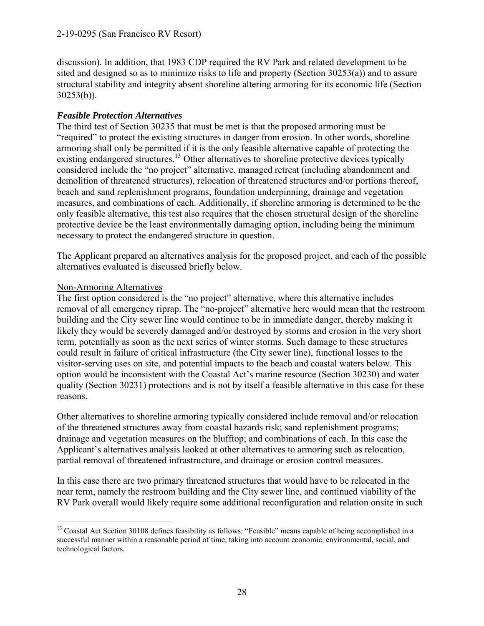discussion). In addition, that 1983 CDP required the RV Park and related development to be sited and designed so as to minimize risks to life and property (Section 30253(a)) and to assure structural stability and integrity absent shoreline altering armoring for its economic life (Section 30253(b)).

#### *Feasible Protection Alternatives*

The third test of Section 30235 that must be met is that the proposed armoring must be "required" to protect the existing structures in danger from erosion. In other words, shoreline armoring shall only be permitted if it is the only feasible alternative capable of protecting the existing endangered structures.<sup>13</sup> Other alternatives to shoreline protective devices typically considered include the "no project" alternative, managed retreat (including abandonment and demolition of threatened structures), relocation of threatened structures and/or portions thereof, beach and sand replenishment programs, foundation underpinning, drainage and vegetation measures, and combinations of each. Additionally, if shoreline armoring is determined to be the only feasible alternative, this test also requires that the chosen structural design of the shoreline protective device be the least environmentally damaging option, including being the minimum necessary to protect the endangered structure in question.

The Applicant prepared an alternatives analysis for the proposed project, and each of the possible alternatives evaluated is discussed briefly below.

#### Non-Armoring Alternatives

The first option considered is the "no project" alternative, where this alternative includes removal of all emergency riprap. The "no-project" alternative here would mean that the restroom building and the City sewer line would continue to be in immediate danger, thereby making it likely they would be severely damaged and/or destroyed by storms and erosion in the very short term, potentially as soon as the next series of winter storms. Such damage to these structures could result in failure of critical infrastructure (the City sewer line), functional losses to the visitor-serving uses on site, and potential impacts to the beach and coastal waters below. This option would be inconsistent with the Coastal Act's marine resource (Section 30230) and water quality (Section 30231) protections and is not by itself a feasible alternative in this case for these reasons.

Other alternatives to shoreline armoring typically considered include removal and/or relocation of the threatened structures away from coastal hazards risk; sand replenishment programs; drainage and vegetation measures on the blufftop; and combinations of each. In this case the Applicant's alternatives analysis looked at other alternatives to armoring such as relocation, partial removal of threatened infrastructure, and drainage or erosion control measures.

In this case there are two primary threatened structures that would have to be relocated in the near term, namely the restroom building and the City sewer line, and continued viability of the RV Park overall would likely require some additional reconfiguration and relation onsite in such

 $\overline{a}$ <sup>13</sup> Coastal Act Section 30108 defines feasibility as follows: "Feasible" means capable of being accomplished in a successful manner within a reasonable period of time, taking into account economic, environmental, social, and technological factors.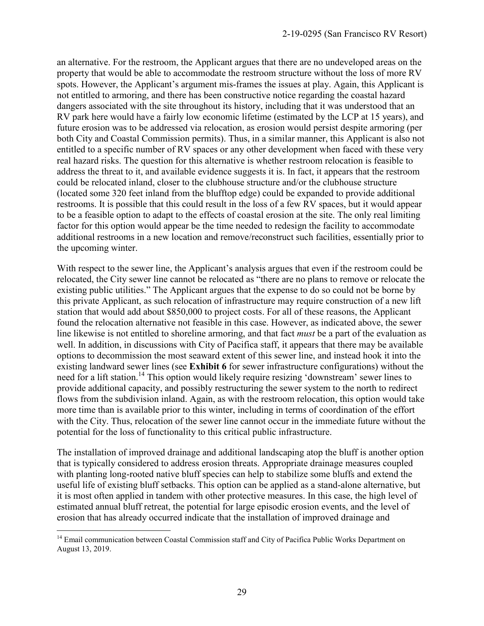an alternative. For the restroom, the Applicant argues that there are no undeveloped areas on the property that would be able to accommodate the restroom structure without the loss of more RV spots. However, the Applicant's argument mis-frames the issues at play. Again, this Applicant is not entitled to armoring, and there has been constructive notice regarding the coastal hazard dangers associated with the site throughout its history, including that it was understood that an RV park here would have a fairly low economic lifetime (estimated by the LCP at 15 years), and future erosion was to be addressed via relocation, as erosion would persist despite armoring (per both City and Coastal Commission permits). Thus, in a similar manner, this Applicant is also not entitled to a specific number of RV spaces or any other development when faced with these very real hazard risks. The question for this alternative is whether restroom relocation is feasible to address the threat to it, and available evidence suggests it is. In fact, it appears that the restroom could be relocated inland, closer to the clubhouse structure and/or the clubhouse structure (located some 320 feet inland from the blufftop edge) could be expanded to provide additional restrooms. It is possible that this could result in the loss of a few RV spaces, but it would appear to be a feasible option to adapt to the effects of coastal erosion at the site. The only real limiting factor for this option would appear be the time needed to redesign the facility to accommodate additional restrooms in a new location and remove/reconstruct such facilities, essentially prior to the upcoming winter.

With respect to the sewer line, the Applicant's analysis argues that even if the restroom could be relocated, the City sewer line cannot be relocated as "there are no plans to remove or relocate the existing public utilities." The Applicant argues that the expense to do so could not be borne by this private Applicant, as such relocation of infrastructure may require construction of a new lift station that would add about \$850,000 to project costs. For all of these reasons, the Applicant found the relocation alternative not feasible in this case. However, as indicated above, the sewer line likewise is not entitled to shoreline armoring, and that fact *must* be a part of the evaluation as well. In addition, in discussions with City of Pacifica staff, it appears that there may be available options to decommission the most seaward extent of this sewer line, and instead hook it into the existing landward sewer lines (see **Exhibit 6** for sewer infrastructure configurations) without the need for a lift station.<sup>14</sup> This option would likely require resizing 'downstream' sewer lines to provide additional capacity, and possibly restructuring the sewer system to the north to redirect flows from the subdivision inland. Again, as with the restroom relocation, this option would take more time than is available prior to this winter, including in terms of coordination of the effort with the City. Thus, relocation of the sewer line cannot occur in the immediate future without the potential for the loss of functionality to this critical public infrastructure.

The installation of improved drainage and additional landscaping atop the bluff is another option that is typically considered to address erosion threats. Appropriate drainage measures coupled with planting long-rooted native bluff species can help to stabilize some bluffs and extend the useful life of existing bluff setbacks. This option can be applied as a stand-alone alternative, but it is most often applied in tandem with other protective measures. In this case, the high level of estimated annual bluff retreat, the potential for large episodic erosion events, and the level of erosion that has already occurred indicate that the installation of improved drainage and

 $\overline{a}$ 

<sup>&</sup>lt;sup>14</sup> Email communication between Coastal Commission staff and City of Pacifica Public Works Department on August 13, 2019.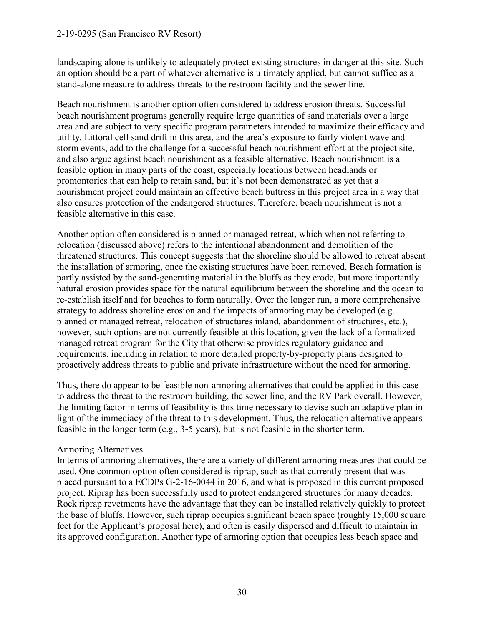#### 2-19-0295 (San Francisco RV Resort)

landscaping alone is unlikely to adequately protect existing structures in danger at this site. Such an option should be a part of whatever alternative is ultimately applied, but cannot suffice as a stand-alone measure to address threats to the restroom facility and the sewer line.

Beach nourishment is another option often considered to address erosion threats. Successful beach nourishment programs generally require large quantities of sand materials over a large area and are subject to very specific program parameters intended to maximize their efficacy and utility. Littoral cell sand drift in this area, and the area's exposure to fairly violent wave and storm events, add to the challenge for a successful beach nourishment effort at the project site, and also argue against beach nourishment as a feasible alternative. Beach nourishment is a feasible option in many parts of the coast, especially locations between headlands or promontories that can help to retain sand, but it's not been demonstrated as yet that a nourishment project could maintain an effective beach buttress in this project area in a way that also ensures protection of the endangered structures. Therefore, beach nourishment is not a feasible alternative in this case.

Another option often considered is planned or managed retreat, which when not referring to relocation (discussed above) refers to the intentional abandonment and demolition of the threatened structures. This concept suggests that the shoreline should be allowed to retreat absent the installation of armoring, once the existing structures have been removed. Beach formation is partly assisted by the sand-generating material in the bluffs as they erode, but more importantly natural erosion provides space for the natural equilibrium between the shoreline and the ocean to re-establish itself and for beaches to form naturally. Over the longer run, a more comprehensive strategy to address shoreline erosion and the impacts of armoring may be developed (e.g. planned or managed retreat, relocation of structures inland, abandonment of structures, etc.), however, such options are not currently feasible at this location, given the lack of a formalized managed retreat program for the City that otherwise provides regulatory guidance and requirements, including in relation to more detailed property-by-property plans designed to proactively address threats to public and private infrastructure without the need for armoring.

Thus, there do appear to be feasible non-armoring alternatives that could be applied in this case to address the threat to the restroom building, the sewer line, and the RV Park overall. However, the limiting factor in terms of feasibility is this time necessary to devise such an adaptive plan in light of the immediacy of the threat to this development. Thus, the relocation alternative appears feasible in the longer term (e.g., 3-5 years), but is not feasible in the shorter term.

#### Armoring Alternatives

In terms of armoring alternatives, there are a variety of different armoring measures that could be used. One common option often considered is riprap, such as that currently present that was placed pursuant to a ECDPs G-2-16-0044 in 2016, and what is proposed in this current proposed project. Riprap has been successfully used to protect endangered structures for many decades. Rock riprap revetments have the advantage that they can be installed relatively quickly to protect the base of bluffs. However, such riprap occupies significant beach space (roughly 15,000 square feet for the Applicant's proposal here), and often is easily dispersed and difficult to maintain in its approved configuration. Another type of armoring option that occupies less beach space and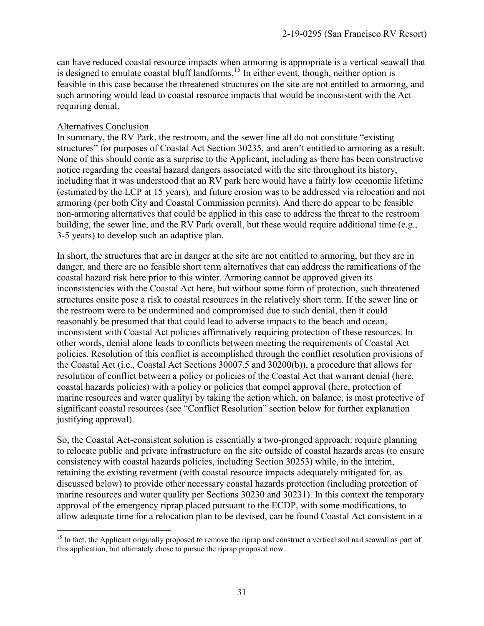can have reduced coastal resource impacts when armoring is appropriate is a vertical seawall that is designed to emulate coastal bluff landforms.<sup>15</sup> In either event, though, neither option is feasible in this case because the threatened structures on the site are not entitled to armoring, and such armoring would lead to coastal resource impacts that would be inconsistent with the Act requiring denial.

#### Alternatives Conclusion

In summary, the RV Park, the restroom, and the sewer line all do not constitute "existing structures" for purposes of Coastal Act Section 30235, and aren't entitled to armoring as a result. None of this should come as a surprise to the Applicant, including as there has been constructive notice regarding the coastal hazard dangers associated with the site throughout its history, including that it was understood that an RV park here would have a fairly low economic lifetime (estimated by the LCP at 15 years), and future erosion was to be addressed via relocation and not armoring (per both City and Coastal Commission permits). And there do appear to be feasible non-armoring alternatives that could be applied in this case to address the threat to the restroom building, the sewer line, and the RV Park overall, but these would require additional time (e.g., 3-5 years) to develop such an adaptive plan.

In short, the structures that are in danger at the site are not entitled to armoring, but they are in danger, and there are no feasible short term alternatives that can address the ramifications of the coastal hazard risk here prior to this winter. Armoring cannot be approved given its inconsistencies with the Coastal Act here, but without some form of protection, such threatened structures onsite pose a risk to coastal resources in the relatively short term. If the sewer line or the restroom were to be undermined and compromised due to such denial, then it could reasonably be presumed that that could lead to adverse impacts to the beach and ocean, inconsistent with Coastal Act policies affirmatively requiring protection of these resources. In other words, denial alone leads to conflicts between meeting the requirements of Coastal Act policies. Resolution of this conflict is accomplished through the conflict resolution provisions of the Coastal Act (i.e., Coastal Act Sections 30007.5 and 30200(b)), a procedure that allows for resolution of conflict between a policy or policies of the Coastal Act that warrant denial (here, coastal hazards policies) with a policy or policies that compel approval (here, protection of marine resources and water quality) by taking the action which, on balance, is most protective of significant coastal resources (see "Conflict Resolution" section below for further explanation justifying approval).

So, the Coastal Act-consistent solution is essentially a two-pronged approach: require planning to relocate public and private infrastructure on the site outside of coastal hazards areas (to ensure consistency with coastal hazards policies, including Section 30253) while, in the interim, retaining the existing revetment (with coastal resource impacts adequately mitigated for, as discussed below) to provide other necessary coastal hazards protection (including protection of marine resources and water quality per Sections 30230 and 30231). In this context the temporary approval of the emergency riprap placed pursuant to the ECDP, with some modifications, to allow adequate time for a relocation plan to be devised, can be found Coastal Act consistent in a

 $\overline{a}$ <sup>15</sup> In fact, the Applicant originally proposed to remove the riprap and construct a vertical soil nail seawall as part of this application, but ultimately chose to pursue the riprap proposed now.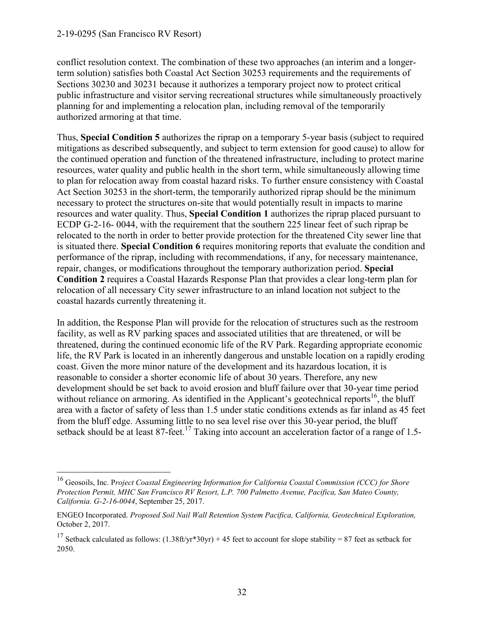$\overline{a}$ 

conflict resolution context. The combination of these two approaches (an interim and a longerterm solution) satisfies both Coastal Act Section 30253 requirements and the requirements of Sections 30230 and 30231 because it authorizes a temporary project now to protect critical public infrastructure and visitor serving recreational structures while simultaneously proactively planning for and implementing a relocation plan, including removal of the temporarily authorized armoring at that time.

Thus, **Special Condition 5** authorizes the riprap on a temporary 5-year basis (subject to required mitigations as described subsequently, and subject to term extension for good cause) to allow for the continued operation and function of the threatened infrastructure, including to protect marine resources, water quality and public health in the short term, while simultaneously allowing time to plan for relocation away from coastal hazard risks. To further ensure consistency with Coastal Act Section 30253 in the short-term, the temporarily authorized riprap should be the minimum necessary to protect the structures on-site that would potentially result in impacts to marine resources and water quality. Thus, **Special Condition 1** authorizes the riprap placed pursuant to ECDP G-2-16- 0044, with the requirement that the southern 225 linear feet of such riprap be relocated to the north in order to better provide protection for the threatened City sewer line that is situated there. **Special Condition 6** requires monitoring reports that evaluate the condition and performance of the riprap, including with recommendations, if any, for necessary maintenance, repair, changes, or modifications throughout the temporary authorization period. **Special Condition 2** requires a Coastal Hazards Response Plan that provides a clear long-term plan for relocation of all necessary City sewer infrastructure to an inland location not subject to the coastal hazards currently threatening it.

In addition, the Response Plan will provide for the relocation of structures such as the restroom facility, as well as RV parking spaces and associated utilities that are threatened, or will be threatened, during the continued economic life of the RV Park. Regarding appropriate economic life, the RV Park is located in an inherently dangerous and unstable location on a rapidly eroding coast. Given the more minor nature of the development and its hazardous location, it is reasonable to consider a shorter economic life of about 30 years. Therefore, any new development should be set back to avoid erosion and bluff failure over that 30-year time period without reliance on armoring. As identified in the Applicant's geotechnical reports<sup>16</sup>, the bluff area with a factor of safety of less than 1.5 under static conditions extends as far inland as 45 feet from the bluff edge. Assuming little to no sea level rise over this 30-year period, the bluff setback should be at least 87-feet.<sup>17</sup> Taking into account an acceleration factor of a range of 1.5-

<sup>16</sup> Geosoils, Inc. P*roject Coastal Engineering Information for California Coastal Commission (CCC) for Shore Protection Permit, MHC San Francisco RV Resort, L.P. 700 Palmetto Avenue, Pacifica, San Mateo County, California. G-2-16-0044*, September 25, 2017.

ENGEO Incorporated. *Proposed Soil Nail Wall Retention System Pacifica, California, Geotechnical Exploration,*  October 2, 2017.

<sup>&</sup>lt;sup>17</sup> Setback calculated as follows:  $(1.38\text{ft/yr}^*30\text{yr}) + 45$  feet to account for slope stability = 87 feet as setback for 2050.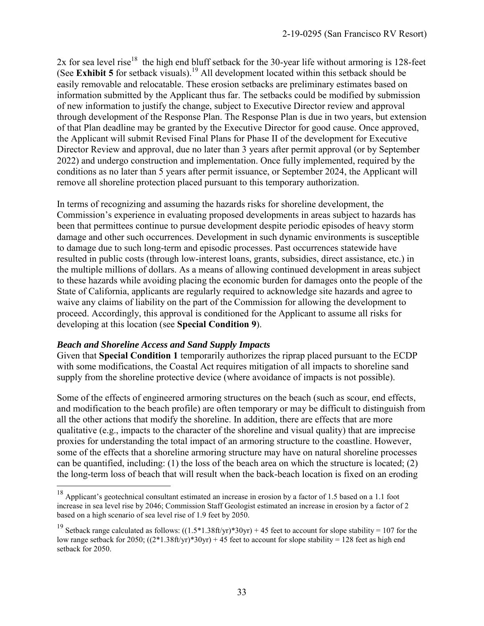2x for sea level rise<sup>18</sup> the high end bluff setback for the 30-year life without armoring is 128-feet (See **Exhibit 5** for setback visuals).<sup>19</sup> All development located within this setback should be easily removable and relocatable. These erosion setbacks are preliminary estimates based on information submitted by the Applicant thus far. The setbacks could be modified by submission of new information to justify the change, subject to Executive Director review and approval through development of the Response Plan. The Response Plan is due in two years, but extension of that Plan deadline may be granted by the Executive Director for good cause. Once approved, the Applicant will submit Revised Final Plans for Phase II of the development for Executive Director Review and approval, due no later than 3 years after permit approval (or by September 2022) and undergo construction and implementation. Once fully implemented, required by the conditions as no later than 5 years after permit issuance, or September 2024, the Applicant will remove all shoreline protection placed pursuant to this temporary authorization.

In terms of recognizing and assuming the hazards risks for shoreline development, the Commission's experience in evaluating proposed developments in areas subject to hazards has been that permittees continue to pursue development despite periodic episodes of heavy storm damage and other such occurrences. Development in such dynamic environments is susceptible to damage due to such long-term and episodic processes. Past occurrences statewide have resulted in public costs (through low-interest loans, grants, subsidies, direct assistance, etc.) in the multiple millions of dollars. As a means of allowing continued development in areas subject to these hazards while avoiding placing the economic burden for damages onto the people of the State of California, applicants are regularly required to acknowledge site hazards and agree to waive any claims of liability on the part of the Commission for allowing the development to proceed. Accordingly, this approval is conditioned for the Applicant to assume all risks for developing at this location (see **Special Condition 9**).

#### *Beach and Shoreline Access and Sand Supply Impacts*

 $\overline{a}$ 

Given that **Special Condition 1** temporarily authorizes the riprap placed pursuant to the ECDP with some modifications, the Coastal Act requires mitigation of all impacts to shoreline sand supply from the shoreline protective device (where avoidance of impacts is not possible).

Some of the effects of engineered armoring structures on the beach (such as scour, end effects, and modification to the beach profile) are often temporary or may be difficult to distinguish from all the other actions that modify the shoreline. In addition, there are effects that are more qualitative (e.g., impacts to the character of the shoreline and visual quality) that are imprecise proxies for understanding the total impact of an armoring structure to the coastline. However, some of the effects that a shoreline armoring structure may have on natural shoreline processes can be quantified, including: (1) the loss of the beach area on which the structure is located; (2) the long-term loss of beach that will result when the back-beach location is fixed on an eroding

<sup>&</sup>lt;sup>18</sup> Applicant's geotechnical consultant estimated an increase in erosion by a factor of 1.5 based on a 1.1 foot increase in sea level rise by 2046; Commission Staff Geologist estimated an increase in erosion by a factor of 2 based on a high scenario of sea level rise of 1.9 feet by 2050.

<sup>&</sup>lt;sup>19</sup> Setback range calculated as follows:  $((1.5*1.38\text{ft/yr})*30\text{yr}) + 45$  feet to account for slope stability = 107 for the low range setback for 2050;  $((2*1.38\text{ft/yr})*30\text{yr}) + 45$  feet to account for slope stability = 128 feet as high end setback for 2050.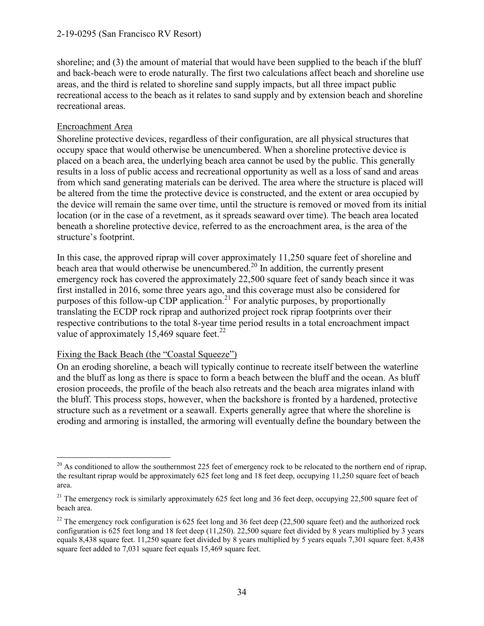#### 2-19-0295 (San Francisco RV Resort)

shoreline; and (3) the amount of material that would have been supplied to the beach if the bluff and back-beach were to erode naturally. The first two calculations affect beach and shoreline use areas, and the third is related to shoreline sand supply impacts, but all three impact public recreational access to the beach as it relates to sand supply and by extension beach and shoreline recreational areas.

#### Encroachment Area

Shoreline protective devices, regardless of their configuration, are all physical structures that occupy space that would otherwise be unencumbered. When a shoreline protective device is placed on a beach area, the underlying beach area cannot be used by the public. This generally results in a loss of public access and recreational opportunity as well as a loss of sand and areas from which sand generating materials can be derived. The area where the structure is placed will be altered from the time the protective device is constructed, and the extent or area occupied by the device will remain the same over time, until the structure is removed or moved from its initial location (or in the case of a revetment, as it spreads seaward over time). The beach area located beneath a shoreline protective device, referred to as the encroachment area, is the area of the structure's footprint.

In this case, the approved riprap will cover approximately 11,250 square feet of shoreline and beach area that would otherwise be unencumbered.<sup>20</sup> In addition, the currently present emergency rock has covered the approximately 22,500 square feet of sandy beach since it was first installed in 2016, some three years ago, and this coverage must also be considered for purposes of this follow-up CDP application.<sup>21</sup> For analytic purposes, by proportionally translating the ECDP rock riprap and authorized project rock riprap footprints over their respective contributions to the total 8-year time period results in a total encroachment impact value of approximately 15,469 square feet.<sup>22</sup>

#### Fixing the Back Beach (the "Coastal Squeeze")

On an eroding shoreline, a beach will typically continue to recreate itself between the waterline and the bluff as long as there is space to form a beach between the bluff and the ocean. As bluff erosion proceeds, the profile of the beach also retreats and the beach area migrates inland with the bluff. This process stops, however, when the backshore is fronted by a hardened, protective structure such as a revetment or a seawall. Experts generally agree that where the shoreline is eroding and armoring is installed, the armoring will eventually define the boundary between the

 $\overline{a}$ <sup>20</sup> As conditioned to allow the southernmost 225 feet of emergency rock to be relocated to the northern end of riprap, the resultant riprap would be approximately 625 feet long and 18 feet deep, occupying 11,250 square feet of beach area.

<sup>&</sup>lt;sup>21</sup> The emergency rock is similarly approximately 625 feet long and 36 feet deep, occupying 22,500 square feet of beach area.

<sup>&</sup>lt;sup>22</sup> The emergency rock configuration is 625 feet long and 36 feet deep (22,500 square feet) and the authorized rock configuration is 625 feet long and 18 feet deep (11,250). 22,500 square feet divided by 8 years multiplied by 3 years equals 8,438 square feet. 11,250 square feet divided by 8 years multiplied by 5 years equals 7,301 square feet. 8,438 square feet added to 7,031 square feet equals 15,469 square feet.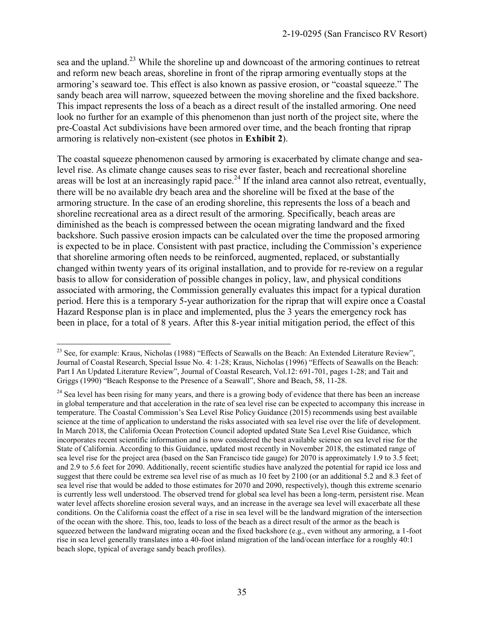sea and the upland.<sup>23</sup> While the shoreline up and downcoast of the armoring continues to retreat and reform new beach areas, shoreline in front of the riprap armoring eventually stops at the armoring's seaward toe. This effect is also known as passive erosion, or "coastal squeeze." The sandy beach area will narrow, squeezed between the moving shoreline and the fixed backshore. This impact represents the loss of a beach as a direct result of the installed armoring. One need look no further for an example of this phenomenon than just north of the project site, where the pre-Coastal Act subdivisions have been armored over time, and the beach fronting that riprap armoring is relatively non-existent (see photos in **Exhibit 2**).

The coastal squeeze phenomenon caused by armoring is exacerbated by climate change and sealevel rise. As climate change causes seas to rise ever faster, beach and recreational shoreline areas will be lost at an increasingly rapid pace.<sup>24</sup> If the inland area cannot also retreat, eventually, there will be no available dry beach area and the shoreline will be fixed at the base of the armoring structure. In the case of an eroding shoreline, this represents the loss of a beach and shoreline recreational area as a direct result of the armoring. Specifically, beach areas are diminished as the beach is compressed between the ocean migrating landward and the fixed backshore. Such passive erosion impacts can be calculated over the time the proposed armoring is expected to be in place. Consistent with past practice, including the Commission's experience that shoreline armoring often needs to be reinforced, augmented, replaced, or substantially changed within twenty years of its original installation, and to provide for re-review on a regular basis to allow for consideration of possible changes in policy, law, and physical conditions associated with armoring, the Commission generally evaluates this impact for a typical duration period. Here this is a temporary 5-year authorization for the riprap that will expire once a Coastal Hazard Response plan is in place and implemented, plus the 3 years the emergency rock has been in place, for a total of 8 years. After this 8-year initial mitigation period, the effect of this

 $\overline{a}$ <sup>23</sup> See, for example: Kraus, Nicholas (1988) "Effects of Seawalls on the Beach: An Extended Literature Review", Journal of Coastal Research, Special Issue No. 4: 1-28; Kraus, Nicholas (1996) "Effects of Seawalls on the Beach: Part I An Updated Literature Review", Journal of Coastal Research, Vol.12: 691-701, pages 1-28; and Tait and Griggs (1990) "Beach Response to the Presence of a Seawall", Shore and Beach, 58, 11-28.

<sup>&</sup>lt;sup>24</sup> Sea level has been rising for many years, and there is a growing body of evidence that there has been an increase in global temperature and that acceleration in the rate of sea level rise can be expected to accompany this increase in temperature. The Coastal Commission's Sea Level Rise Policy Guidance (2015) recommends using best available science at the time of application to understand the risks associated with sea level rise over the life of development. In March 2018, the California Ocean Protection Council adopted updated State Sea Level Rise Guidance, which incorporates recent scientific information and is now considered the best available science on sea level rise for the State of California. According to this Guidance, updated most recently in November 2018, the estimated range of sea level rise for the project area (based on the San Francisco tide gauge) for 2070 is approximately 1.9 to 3.5 feet; and 2.9 to 5.6 feet for 2090. Additionally, recent scientific studies have analyzed the potential for rapid ice loss and suggest that there could be extreme sea level rise of as much as 10 feet by 2100 (or an additional 5.2 and 8.3 feet of sea level rise that would be added to those estimates for 2070 and 2090, respectively), though this extreme scenario is currently less well understood. The observed trend for global sea level has been a long-term, persistent rise. Mean water level affects shoreline erosion several ways, and an increase in the average sea level will exacerbate all these conditions. On the California coast the effect of a rise in sea level will be the landward migration of the intersection of the ocean with the shore. This, too, leads to loss of the beach as a direct result of the armor as the beach is squeezed between the landward migrating ocean and the fixed backshore (e.g., even without any armoring, a 1-foot rise in sea level generally translates into a 40-foot inland migration of the land/ocean interface for a roughly 40:1 beach slope, typical of average sandy beach profiles).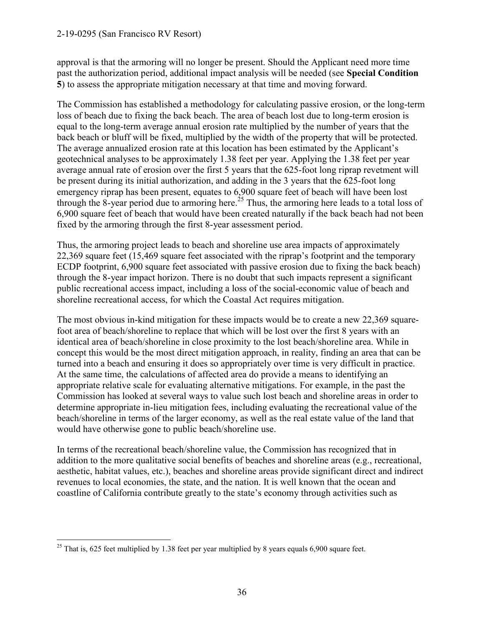#### 2-19-0295 (San Francisco RV Resort)

approval is that the armoring will no longer be present. Should the Applicant need more time past the authorization period, additional impact analysis will be needed (see **Special Condition 5**) to assess the appropriate mitigation necessary at that time and moving forward.

The Commission has established a methodology for calculating passive erosion, or the long-term loss of beach due to fixing the back beach. The area of beach lost due to long-term erosion is equal to the long-term average annual erosion rate multiplied by the number of years that the back beach or bluff will be fixed, multiplied by the width of the property that will be protected. The average annualized erosion rate at this location has been estimated by the Applicant's geotechnical analyses to be approximately 1.38 feet per year. Applying the 1.38 feet per year average annual rate of erosion over the first 5 years that the 625-foot long riprap revetment will be present during its initial authorization, and adding in the 3 years that the 625-foot long emergency riprap has been present, equates to 6,900 square feet of beach will have been lost through the 8-year period due to armoring here.<sup>25</sup> Thus, the armoring here leads to a total loss of 6,900 square feet of beach that would have been created naturally if the back beach had not been fixed by the armoring through the first 8-year assessment period.

Thus, the armoring project leads to beach and shoreline use area impacts of approximately 22,369 square feet (15,469 square feet associated with the riprap's footprint and the temporary ECDP footprint, 6,900 square feet associated with passive erosion due to fixing the back beach) through the 8-year impact horizon. There is no doubt that such impacts represent a significant public recreational access impact, including a loss of the social-economic value of beach and shoreline recreational access, for which the Coastal Act requires mitigation.

The most obvious in-kind mitigation for these impacts would be to create a new 22,369 squarefoot area of beach/shoreline to replace that which will be lost over the first 8 years with an identical area of beach/shoreline in close proximity to the lost beach/shoreline area. While in concept this would be the most direct mitigation approach, in reality, finding an area that can be turned into a beach and ensuring it does so appropriately over time is very difficult in practice. At the same time, the calculations of affected area do provide a means to identifying an appropriate relative scale for evaluating alternative mitigations. For example, in the past the Commission has looked at several ways to value such lost beach and shoreline areas in order to determine appropriate in-lieu mitigation fees, including evaluating the recreational value of the beach/shoreline in terms of the larger economy, as well as the real estate value of the land that would have otherwise gone to public beach/shoreline use.

In terms of the recreational beach/shoreline value, the Commission has recognized that in addition to the more qualitative social benefits of beaches and shoreline areas (e.g., recreational, aesthetic, habitat values, etc.), beaches and shoreline areas provide significant direct and indirect revenues to local economies, the state, and the nation. It is well known that the ocean and coastline of California contribute greatly to the state's economy through activities such as

 $\overline{a}$ <sup>25</sup> That is, 625 feet multiplied by 1.38 feet per year multiplied by 8 years equals 6,900 square feet.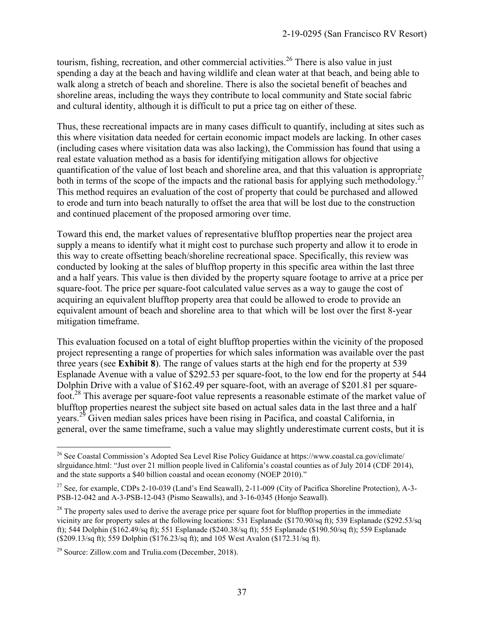tourism, fishing, recreation, and other commercial activities.<sup>26</sup> There is also value in just spending a day at the beach and having wildlife and clean water at that beach, and being able to walk along a stretch of beach and shoreline. There is also the societal benefit of beaches and shoreline areas, including the ways they contribute to local community and State social fabric and cultural identity, although it is difficult to put a price tag on either of these.

Thus, these recreational impacts are in many cases difficult to quantify, including at sites such as this where visitation data needed for certain economic impact models are lacking. In other cases (including cases where visitation data was also lacking), the Commission has found that using a real estate valuation method as a basis for identifying mitigation allows for objective quantification of the value of lost beach and shoreline area, and that this valuation is appropriate both in terms of the scope of the impacts and the rational basis for applying such methodology.<sup>27</sup> This method requires an evaluation of the cost of property that could be purchased and allowed to erode and turn into beach naturally to offset the area that will be lost due to the construction and continued placement of the proposed armoring over time.

Toward this end, the market values of representative blufftop properties near the project area supply a means to identify what it might cost to purchase such property and allow it to erode in this way to create offsetting beach/shoreline recreational space. Specifically, this review was conducted by looking at the sales of blufftop property in this specific area within the last three and a half years. This value is then divided by the property square footage to arrive at a price per square-foot. The price per square-foot calculated value serves as a way to gauge the cost of acquiring an equivalent blufftop property area that could be allowed to erode to provide an equivalent amount of beach and shoreline area to that which will be lost over the first 8-year mitigation timeframe.

This evaluation focused on a total of eight blufftop properties within the vicinity of the proposed project representing a range of properties for which sales information was available over the past three years (see **Exhibit 8**). The range of values starts at the high end for the property at 539 Esplanade Avenue with a value of \$292.53 per square-foot, to the low end for the property at 544 Dolphin Drive with a value of \$162.49 per square-foot, with an average of \$201.81 per squarefoot.<sup>28</sup> This average per square-foot value represents a reasonable estimate of the market value of blufftop properties nearest the subject site based on actual sales data in the last three and a half years.<sup>29</sup> Given median sales prices have been rising in Pacifica, and coastal California, in general, over the same timeframe, such a value may slightly underestimate current costs, but it is

 $\overline{a}$ 

<sup>&</sup>lt;sup>26</sup> See Coastal Commission's Adopted Sea Level Rise Policy Guidance at https://www.coastal.ca.gov/climate/ slrguidance.html: "Just over 21 million people lived in California's coastal counties as of July 2014 (CDF 2014), and the state supports a \$40 billion coastal and ocean economy (NOEP 2010)."

<sup>&</sup>lt;sup>27</sup> See, for example, CDPs 2-10-039 (Land's End Seawall), 2-11-009 (City of Pacifica Shoreline Protection), A-3-PSB-12-042 and A-3-PSB-12-043 (Pismo Seawalls), and 3-16-0345 (Honjo Seawall).

 $2<sup>8</sup>$  The property sales used to derive the average price per square foot for blufftop properties in the immediate vicinity are for property sales at the following locations: 531 Esplanade (\$170.90/sq ft); 539 Esplanade (\$292.53/sq ft); 544 Dolphin (\$162.49/sq ft); 551 Esplanade (\$240.38/sq ft); 555 Esplanade (\$190.50/sq ft); 559 Esplanade (\$209.13/sq ft); 559 Dolphin (\$176.23/sq ft); and 105 West Avalon (\$172.31/sq ft).

<sup>29</sup> Source: Zillow.com and Trulia.com (December, 2018).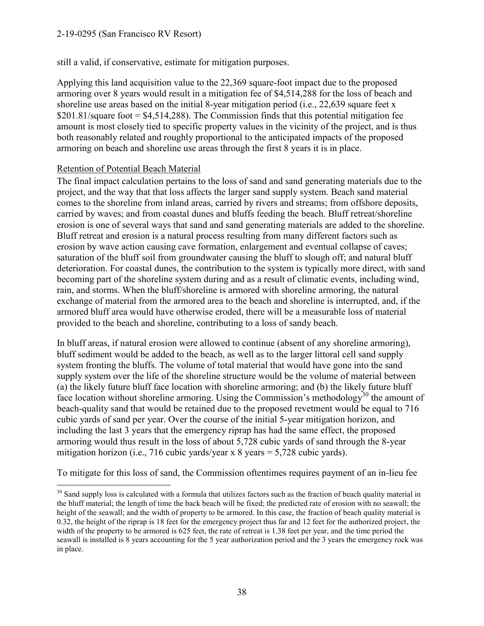#### 2-19-0295 (San Francisco RV Resort)

still a valid, if conservative, estimate for mitigation purposes.

Applying this land acquisition value to the 22,369 square-foot impact due to the proposed armoring over 8 years would result in a mitigation fee of \$4,514,288 for the loss of beach and shoreline use areas based on the initial 8-year mitigation period (i.e., 22,639 square feet x \$201.81/square foot  $=$  \$4,514,288). The Commission finds that this potential mitigation fee amount is most closely tied to specific property values in the vicinity of the project, and is thus both reasonably related and roughly proportional to the anticipated impacts of the proposed armoring on beach and shoreline use areas through the first 8 years it is in place.

#### Retention of Potential Beach Material

The final impact calculation pertains to the loss of sand and sand generating materials due to the project, and the way that that loss affects the larger sand supply system. Beach sand material comes to the shoreline from inland areas, carried by rivers and streams; from offshore deposits, carried by waves; and from coastal dunes and bluffs feeding the beach. Bluff retreat/shoreline erosion is one of several ways that sand and sand generating materials are added to the shoreline. Bluff retreat and erosion is a natural process resulting from many different factors such as erosion by wave action causing cave formation, enlargement and eventual collapse of caves; saturation of the bluff soil from groundwater causing the bluff to slough off; and natural bluff deterioration. For coastal dunes, the contribution to the system is typically more direct, with sand becoming part of the shoreline system during and as a result of climatic events, including wind, rain, and storms. When the bluff/shoreline is armored with shoreline armoring, the natural exchange of material from the armored area to the beach and shoreline is interrupted, and, if the armored bluff area would have otherwise eroded, there will be a measurable loss of material provided to the beach and shoreline, contributing to a loss of sandy beach.

In bluff areas, if natural erosion were allowed to continue (absent of any shoreline armoring), bluff sediment would be added to the beach, as well as to the larger littoral cell sand supply system fronting the bluffs. The volume of total material that would have gone into the sand supply system over the life of the shoreline structure would be the volume of material between (a) the likely future bluff face location with shoreline armoring; and (b) the likely future bluff face location without shoreline armoring. Using the Commission's methodology<sup>30</sup> the amount of beach-quality sand that would be retained due to the proposed revetment would be equal to 716 cubic yards of sand per year. Over the course of the initial 5-year mitigation horizon, and including the last 3 years that the emergency riprap has had the same effect, the proposed armoring would thus result in the loss of about 5,728 cubic yards of sand through the 8-year mitigation horizon (i.e., 716 cubic yards/year x 8 years = 5,728 cubic yards).

To mitigate for this loss of sand, the Commission oftentimes requires payment of an in-lieu fee

 $\overline{a}$  $30$  Sand supply loss is calculated with a formula that utilizes factors such as the fraction of beach quality material in the bluff material; the length of time the back beach will be fixed; the predicted rate of erosion with no seawall; the height of the seawall; and the width of property to be armored. In this case, the fraction of beach quality material is 0.32, the height of the riprap is 18 feet for the emergency project thus far and 12 feet for the authorized project, the width of the property to be armored is 625 feet, the rate of retreat is 1.38 feet per year, and the time period the seawall is installed is 8 years accounting for the 5 year authorization period and the 3 years the emergency rock was in place.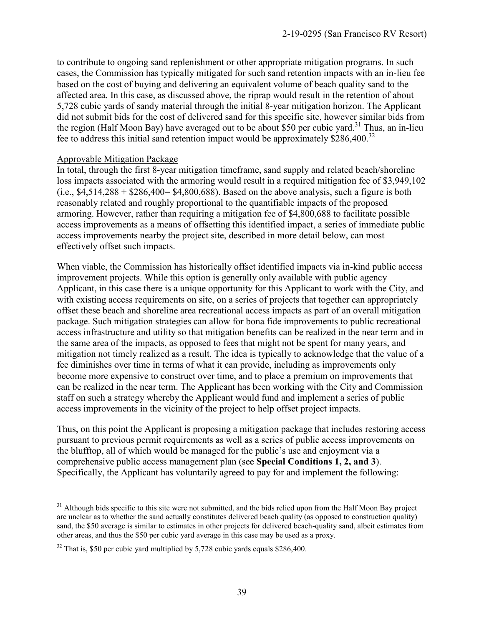to contribute to ongoing sand replenishment or other appropriate mitigation programs. In such cases, the Commission has typically mitigated for such sand retention impacts with an in-lieu fee based on the cost of buying and delivering an equivalent volume of beach quality sand to the affected area. In this case, as discussed above, the riprap would result in the retention of about 5,728 cubic yards of sandy material through the initial 8-year mitigation horizon. The Applicant did not submit bids for the cost of delivered sand for this specific site, however similar bids from the region (Half Moon Bay) have averaged out to be about \$50 per cubic yard.<sup>31</sup> Thus, an in-lieu fee to address this initial sand retention impact would be approximately \$286,400.<sup>32</sup>

#### Approvable Mitigation Package

In total, through the first 8-year mitigation timeframe, sand supply and related beach/shoreline loss impacts associated with the armoring would result in a required mitigation fee of \$3,949,102 (i.e.,  $$4,514,288 + $286,400 = $4,800,688$ ). Based on the above analysis, such a figure is both reasonably related and roughly proportional to the quantifiable impacts of the proposed armoring. However, rather than requiring a mitigation fee of \$4,800,688 to facilitate possible access improvements as a means of offsetting this identified impact, a series of immediate public access improvements nearby the project site, described in more detail below, can most effectively offset such impacts.

When viable, the Commission has historically offset identified impacts via in-kind public access improvement projects. While this option is generally only available with public agency Applicant, in this case there is a unique opportunity for this Applicant to work with the City, and with existing access requirements on site, on a series of projects that together can appropriately offset these beach and shoreline area recreational access impacts as part of an overall mitigation package. Such mitigation strategies can allow for bona fide improvements to public recreational access infrastructure and utility so that mitigation benefits can be realized in the near term and in the same area of the impacts, as opposed to fees that might not be spent for many years, and mitigation not timely realized as a result. The idea is typically to acknowledge that the value of a fee diminishes over time in terms of what it can provide, including as improvements only become more expensive to construct over time, and to place a premium on improvements that can be realized in the near term. The Applicant has been working with the City and Commission staff on such a strategy whereby the Applicant would fund and implement a series of public access improvements in the vicinity of the project to help offset project impacts.

Thus, on this point the Applicant is proposing a mitigation package that includes restoring access pursuant to previous permit requirements as well as a series of public access improvements on the blufftop, all of which would be managed for the public's use and enjoyment via a comprehensive public access management plan (see **Special Conditions 1, 2, and 3**). Specifically, the Applicant has voluntarily agreed to pay for and implement the following:

 $\overline{a}$ <sup>31</sup> Although bids specific to this site were not submitted, and the bids relied upon from the Half Moon Bay project are unclear as to whether the sand actually constitutes delivered beach quality (as opposed to construction quality) sand, the \$50 average is similar to estimates in other projects for delivered beach-quality sand, albeit estimates from other areas, and thus the \$50 per cubic yard average in this case may be used as a proxy.

 $32$  That is, \$50 per cubic vard multiplied by 5,728 cubic yards equals \$286,400.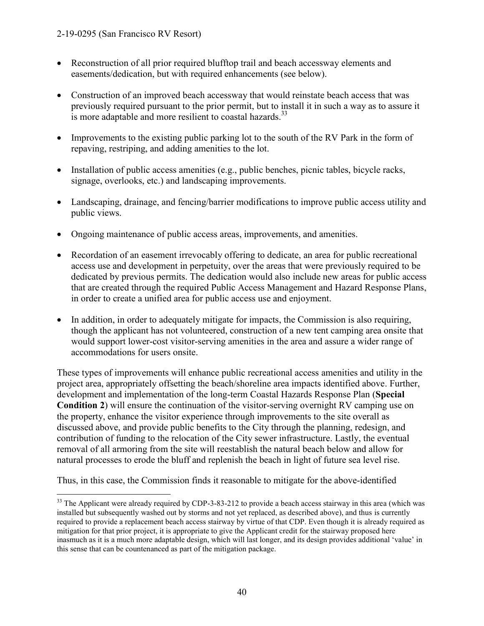- Reconstruction of all prior required blufftop trail and beach accessway elements and easements/dedication, but with required enhancements (see below).
- Construction of an improved beach accessway that would reinstate beach access that was previously required pursuant to the prior permit, but to install it in such a way as to assure it is more adaptable and more resilient to coastal hazards. $33$
- Improvements to the existing public parking lot to the south of the RV Park in the form of repaving, restriping, and adding amenities to the lot.
- Installation of public access amenities (e.g., public benches, picnic tables, bicycle racks, signage, overlooks, etc.) and landscaping improvements.
- Landscaping, drainage, and fencing/barrier modifications to improve public access utility and public views.
- Ongoing maintenance of public access areas, improvements, and amenities.
- Recordation of an easement irrevocably offering to dedicate, an area for public recreational access use and development in perpetuity, over the areas that were previously required to be dedicated by previous permits. The dedication would also include new areas for public access that are created through the required Public Access Management and Hazard Response Plans, in order to create a unified area for public access use and enjoyment.
- In addition, in order to adequately mitigate for impacts, the Commission is also requiring, though the applicant has not volunteered, construction of a new tent camping area onsite that would support lower-cost visitor-serving amenities in the area and assure a wider range of accommodations for users onsite.

These types of improvements will enhance public recreational access amenities and utility in the project area, appropriately offsetting the beach/shoreline area impacts identified above. Further, development and implementation of the long-term Coastal Hazards Response Plan (**Special Condition 2**) will ensure the continuation of the visitor-serving overnight RV camping use on the property, enhance the visitor experience through improvements to the site overall as discussed above, and provide public benefits to the City through the planning, redesign, and contribution of funding to the relocation of the City sewer infrastructure. Lastly, the eventual removal of all armoring from the site will reestablish the natural beach below and allow for natural processes to erode the bluff and replenish the beach in light of future sea level rise.

Thus, in this case, the Commission finds it reasonable to mitigate for the above-identified

 $\overline{a}$  $33$  The Applicant were already required by CDP-3-83-212 to provide a beach access stairway in this area (which was installed but subsequently washed out by storms and not yet replaced, as described above), and thus is currently required to provide a replacement beach access stairway by virtue of that CDP. Even though it is already required as mitigation for that prior project, it is appropriate to give the Applicant credit for the stairway proposed here inasmuch as it is a much more adaptable design, which will last longer, and its design provides additional 'value' in this sense that can be countenanced as part of the mitigation package.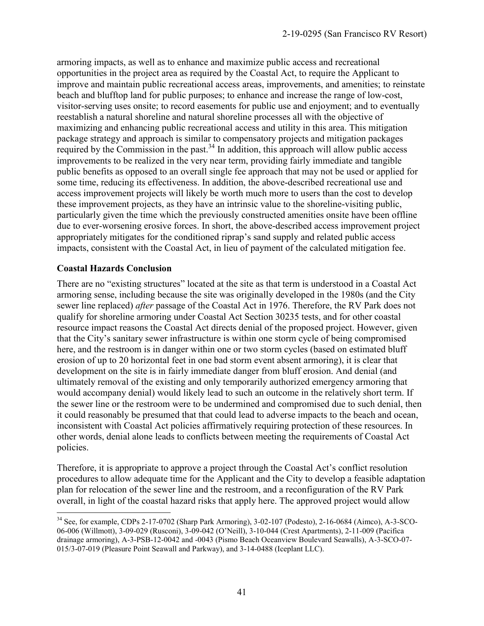armoring impacts, as well as to enhance and maximize public access and recreational opportunities in the project area as required by the Coastal Act, to require the Applicant to improve and maintain public recreational access areas, improvements, and amenities; to reinstate beach and blufftop land for public purposes; to enhance and increase the range of low-cost, visitor-serving uses onsite; to record easements for public use and enjoyment; and to eventually reestablish a natural shoreline and natural shoreline processes all with the objective of maximizing and enhancing public recreational access and utility in this area. This mitigation package strategy and approach is similar to compensatory projects and mitigation packages required by the Commission in the past.<sup>34</sup> In addition, this approach will allow public access improvements to be realized in the very near term, providing fairly immediate and tangible public benefits as opposed to an overall single fee approach that may not be used or applied for some time, reducing its effectiveness. In addition, the above-described recreational use and access improvement projects will likely be worth much more to users than the cost to develop these improvement projects, as they have an intrinsic value to the shoreline-visiting public, particularly given the time which the previously constructed amenities onsite have been offline due to ever-worsening erosive forces. In short, the above-described access improvement project appropriately mitigates for the conditioned riprap's sand supply and related public access impacts, consistent with the Coastal Act, in lieu of payment of the calculated mitigation fee.

#### **Coastal Hazards Conclusion**

There are no "existing structures" located at the site as that term is understood in a Coastal Act armoring sense, including because the site was originally developed in the 1980s (and the City sewer line replaced) *after* passage of the Coastal Act in 1976. Therefore, the RV Park does not qualify for shoreline armoring under Coastal Act Section 30235 tests, and for other coastal resource impact reasons the Coastal Act directs denial of the proposed project. However, given that the City's sanitary sewer infrastructure is within one storm cycle of being compromised here, and the restroom is in danger within one or two storm cycles (based on estimated bluff erosion of up to 20 horizontal feet in one bad storm event absent armoring), it is clear that development on the site is in fairly immediate danger from bluff erosion. And denial (and ultimately removal of the existing and only temporarily authorized emergency armoring that would accompany denial) would likely lead to such an outcome in the relatively short term. If the sewer line or the restroom were to be undermined and compromised due to such denial, then it could reasonably be presumed that that could lead to adverse impacts to the beach and ocean, inconsistent with Coastal Act policies affirmatively requiring protection of these resources. In other words, denial alone leads to conflicts between meeting the requirements of Coastal Act policies.

Therefore, it is appropriate to approve a project through the Coastal Act's conflict resolution procedures to allow adequate time for the Applicant and the City to develop a feasible adaptation plan for relocation of the sewer line and the restroom, and a reconfiguration of the RV Park overall, in light of the coastal hazard risks that apply here. The approved project would allow

 $\overline{a}$ <sup>34</sup> See, for example, CDPs 2-17-0702 (Sharp Park Armoring), 3-02-107 (Podesto), 2-16-0684 (Aimco), A-3-SCO-06-006 (Willmott), 3-09-029 (Rusconi), 3-09-042 (O'Neill), 3-10-044 (Crest Apartments), 2-11-009 (Pacifica drainage armoring), A-3-PSB-12-0042 and -0043 (Pismo Beach Oceanview Boulevard Seawalls), A-3-SCO-07- 015/3-07-019 (Pleasure Point Seawall and Parkway), and 3-14-0488 (Iceplant LLC).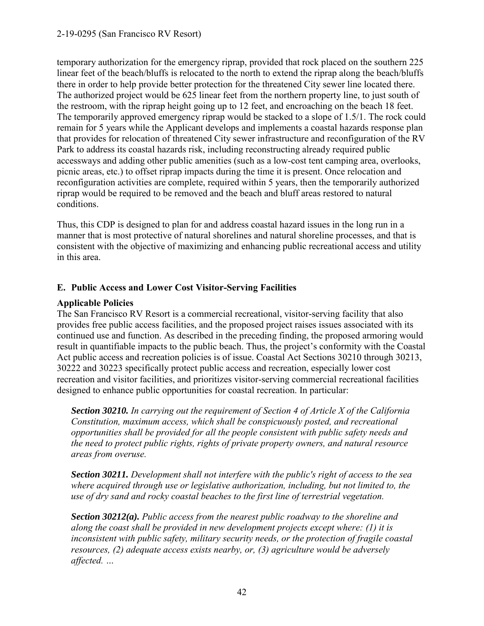temporary authorization for the emergency riprap, provided that rock placed on the southern 225 linear feet of the beach/bluffs is relocated to the north to extend the riprap along the beach/bluffs there in order to help provide better protection for the threatened City sewer line located there. The authorized project would be 625 linear feet from the northern property line, to just south of the restroom, with the riprap height going up to 12 feet, and encroaching on the beach 18 feet. The temporarily approved emergency riprap would be stacked to a slope of 1.5/1. The rock could remain for 5 years while the Applicant develops and implements a coastal hazards response plan that provides for relocation of threatened City sewer infrastructure and reconfiguration of the RV Park to address its coastal hazards risk, including reconstructing already required public accessways and adding other public amenities (such as a low-cost tent camping area, overlooks, picnic areas, etc.) to offset riprap impacts during the time it is present. Once relocation and reconfiguration activities are complete, required within 5 years, then the temporarily authorized riprap would be required to be removed and the beach and bluff areas restored to natural conditions.

Thus, this CDP is designed to plan for and address coastal hazard issues in the long run in a manner that is most protective of natural shorelines and natural shoreline processes, and that is consistent with the objective of maximizing and enhancing public recreational access and utility in this area.

#### **E. Public Access and Lower Cost Visitor-Serving Facilities**

#### **Applicable Policies**

The San Francisco RV Resort is a commercial recreational, visitor-serving facility that also provides free public access facilities, and the proposed project raises issues associated with its continued use and function. As described in the preceding finding, the proposed armoring would result in quantifiable impacts to the public beach. Thus, the project's conformity with the Coastal Act public access and recreation policies is of issue. Coastal Act Sections 30210 through 30213, 30222 and 30223 specifically protect public access and recreation, especially lower cost recreation and visitor facilities, and prioritizes visitor-serving commercial recreational facilities designed to enhance public opportunities for coastal recreation. In particular:

*Section 30210. In carrying out the requirement of Section 4 of Article X of the California Constitution, maximum access, which shall be conspicuously posted, and recreational opportunities shall be provided for all the people consistent with public safety needs and the need to protect public rights, rights of private property owners, and natural resource areas from overuse.* 

*Section 30211. Development shall not interfere with the public's right of access to the sea where acquired through use or legislative authorization, including, but not limited to, the use of dry sand and rocky coastal beaches to the first line of terrestrial vegetation.* 

*Section 30212(a). Public access from the nearest public roadway to the shoreline and along the coast shall be provided in new development projects except where: (1) it is inconsistent with public safety, military security needs, or the protection of fragile coastal resources, (2) adequate access exists nearby, or, (3) agriculture would be adversely affected. …*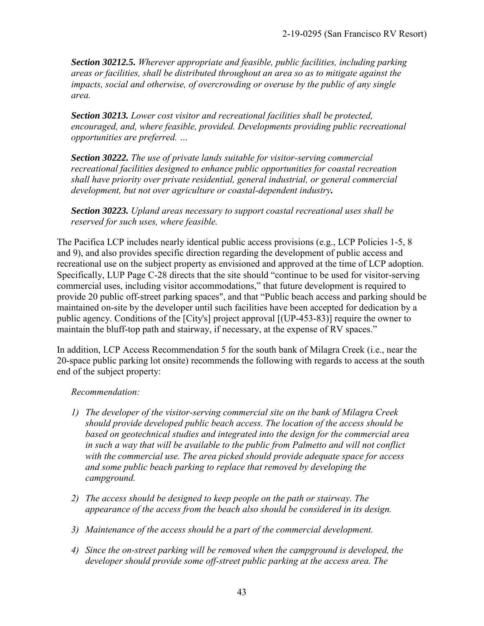*Section 30212.5. Wherever appropriate and feasible, public facilities, including parking areas or facilities, shall be distributed throughout an area so as to mitigate against the impacts, social and otherwise, of overcrowding or overuse by the public of any single area.* 

*Section 30213. Lower cost visitor and recreational facilities shall be protected, encouraged, and, where feasible, provided. Developments providing public recreational opportunities are preferred. …* 

*Section 30222. The use of private lands suitable for visitor-serving commercial recreational facilities designed to enhance public opportunities for coastal recreation shall have priority over private residential, general industrial, or general commercial development, but not over agriculture or coastal-dependent industry.*

*Section 30223. Upland areas necessary to support coastal recreational uses shall be reserved for such uses, where feasible.* 

The Pacifica LCP includes nearly identical public access provisions (e.g., LCP Policies 1-5, 8 and 9), and also provides specific direction regarding the development of public access and recreational use on the subject property as envisioned and approved at the time of LCP adoption. Specifically, LUP Page C-28 directs that the site should "continue to be used for visitor-serving commercial uses, including visitor accommodations," that future development is required to provide 20 public off-street parking spaces", and that "Public beach access and parking should be maintained on-site by the developer until such facilities have been accepted for dedication by a public agency. Conditions of the [City's] project approval [(UP-453-83)] require the owner to maintain the bluff-top path and stairway, if necessary, at the expense of RV spaces."

In addition, LCP Access Recommendation 5 for the south bank of Milagra Creek (i.e., near the 20-space public parking lot onsite) recommends the following with regards to access at the south end of the subject property:

#### *Recommendation:*

- *1) The developer of the visitor-serving commercial site on the bank of Milagra Creek should provide developed public beach access. The location of the access should be based on geotechnical studies and integrated into the design for the commercial area in such a way that will be available to the public from Palmetto and will not conflict with the commercial use. The area picked should provide adequate space for access and some public beach parking to replace that removed by developing the campground.*
- *2) The access should be designed to keep people on the path or stairway. The appearance of the access from the beach also should be considered in its design.*
- *3) Maintenance of the access should be a part of the commercial development.*
- *4) Since the on-street parking will be removed when the campground is developed, the developer should provide some off-street public parking at the access area. The*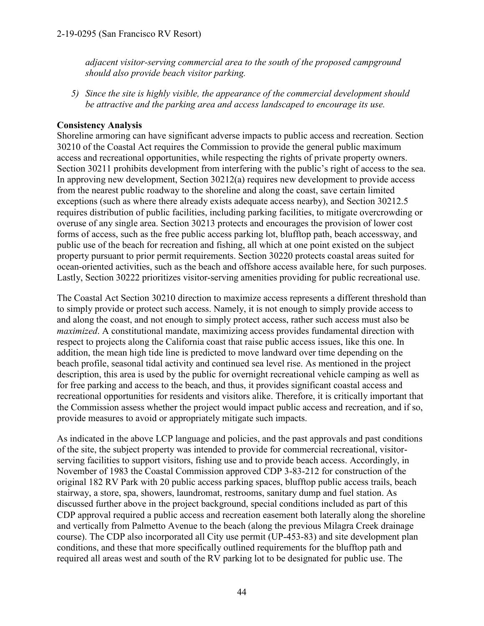*adjacent visitor-serving commercial area to the south of the proposed campground should also provide beach visitor parking.* 

*5) Since the site is highly visible, the appearance of the commercial development should be attractive and the parking area and access landscaped to encourage its use.* 

#### **Consistency Analysis**

Shoreline armoring can have significant adverse impacts to public access and recreation. Section 30210 of the Coastal Act requires the Commission to provide the general public maximum access and recreational opportunities, while respecting the rights of private property owners. Section 30211 prohibits development from interfering with the public's right of access to the sea. In approving new development, Section 30212(a) requires new development to provide access from the nearest public roadway to the shoreline and along the coast, save certain limited exceptions (such as where there already exists adequate access nearby), and Section 30212.5 requires distribution of public facilities, including parking facilities, to mitigate overcrowding or overuse of any single area. Section 30213 protects and encourages the provision of lower cost forms of access, such as the free public access parking lot, blufftop path, beach accessway, and public use of the beach for recreation and fishing, all which at one point existed on the subject property pursuant to prior permit requirements. Section 30220 protects coastal areas suited for ocean-oriented activities, such as the beach and offshore access available here, for such purposes. Lastly, Section 30222 prioritizes visitor-serving amenities providing for public recreational use.

The Coastal Act Section 30210 direction to maximize access represents a different threshold than to simply provide or protect such access. Namely, it is not enough to simply provide access to and along the coast, and not enough to simply protect access, rather such access must also be *maximized*. A constitutional mandate, maximizing access provides fundamental direction with respect to projects along the California coast that raise public access issues, like this one. In addition, the mean high tide line is predicted to move landward over time depending on the beach profile, seasonal tidal activity and continued sea level rise. As mentioned in the project description, this area is used by the public for overnight recreational vehicle camping as well as for free parking and access to the beach, and thus, it provides significant coastal access and recreational opportunities for residents and visitors alike. Therefore, it is critically important that the Commission assess whether the project would impact public access and recreation, and if so, provide measures to avoid or appropriately mitigate such impacts.

As indicated in the above LCP language and policies, and the past approvals and past conditions of the site, the subject property was intended to provide for commercial recreational, visitorserving facilities to support visitors, fishing use and to provide beach access. Accordingly, in November of 1983 the Coastal Commission approved CDP 3-83-212 for construction of the original 182 RV Park with 20 public access parking spaces, blufftop public access trails, beach stairway, a store, spa, showers, laundromat, restrooms, sanitary dump and fuel station. As discussed further above in the project background, special conditions included as part of this CDP approval required a public access and recreation easement both laterally along the shoreline and vertically from Palmetto Avenue to the beach (along the previous Milagra Creek drainage course). The CDP also incorporated all City use permit (UP-453-83) and site development plan conditions, and these that more specifically outlined requirements for the blufftop path and required all areas west and south of the RV parking lot to be designated for public use. The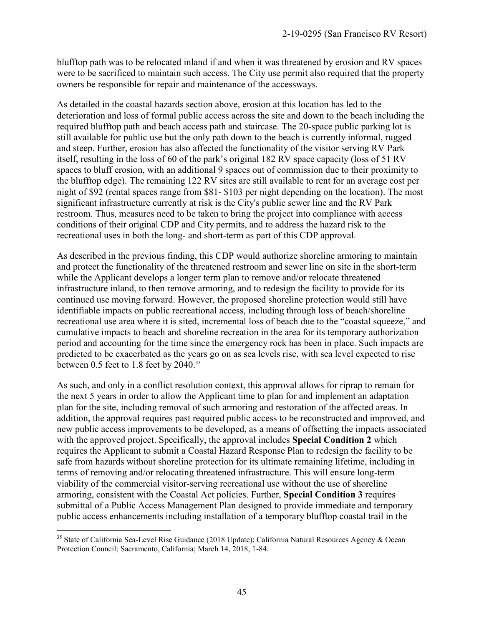blufftop path was to be relocated inland if and when it was threatened by erosion and RV spaces were to be sacrificed to maintain such access. The City use permit also required that the property owners be responsible for repair and maintenance of the accessways.

As detailed in the coastal hazards section above, erosion at this location has led to the deterioration and loss of formal public access across the site and down to the beach including the required blufftop path and beach access path and staircase. The 20-space public parking lot is still available for public use but the only path down to the beach is currently informal, rugged and steep. Further, erosion has also affected the functionality of the visitor serving RV Park itself, resulting in the loss of 60 of the park's original 182 RV space capacity (loss of 51 RV spaces to bluff erosion, with an additional 9 spaces out of commission due to their proximity to the blufftop edge). The remaining 122 RV sites are still available to rent for an average cost per night of \$92 (rental spaces range from \$81- \$103 per night depending on the location). The most significant infrastructure currently at risk is the City's public sewer line and the RV Park restroom. Thus, measures need to be taken to bring the project into compliance with access conditions of their original CDP and City permits, and to address the hazard risk to the recreational uses in both the long- and short-term as part of this CDP approval.

As described in the previous finding, this CDP would authorize shoreline armoring to maintain and protect the functionality of the threatened restroom and sewer line on site in the short-term while the Applicant develops a longer term plan to remove and/or relocate threatened infrastructure inland, to then remove armoring, and to redesign the facility to provide for its continued use moving forward. However, the proposed shoreline protection would still have identifiable impacts on public recreational access, including through loss of beach/shoreline recreational use area where it is sited, incremental loss of beach due to the "coastal squeeze," and cumulative impacts to beach and shoreline recreation in the area for its temporary authorization period and accounting for the time since the emergency rock has been in place. Such impacts are predicted to be exacerbated as the years go on as sea levels rise, with sea level expected to rise between 0.5 feet to 1.8 feet by 2040.<sup>35</sup>

As such, and only in a conflict resolution context, this approval allows for riprap to remain for the next 5 years in order to allow the Applicant time to plan for and implement an adaptation plan for the site, including removal of such armoring and restoration of the affected areas. In addition, the approval requires past required public access to be reconstructed and improved, and new public access improvements to be developed, as a means of offsetting the impacts associated with the approved project. Specifically, the approval includes **Special Condition 2** which requires the Applicant to submit a Coastal Hazard Response Plan to redesign the facility to be safe from hazards without shoreline protection for its ultimate remaining lifetime, including in terms of removing and/or relocating threatened infrastructure. This will ensure long-term viability of the commercial visitor-serving recreational use without the use of shoreline armoring, consistent with the Coastal Act policies. Further, **Special Condition 3** requires submittal of a Public Access Management Plan designed to provide immediate and temporary public access enhancements including installation of a temporary blufftop coastal trail in the

 $\overline{a}$ 

<sup>&</sup>lt;sup>35</sup> State of California Sea-Level Rise Guidance (2018 Update); California Natural Resources Agency & Ocean Protection Council; Sacramento, California; March 14, 2018, 1-84.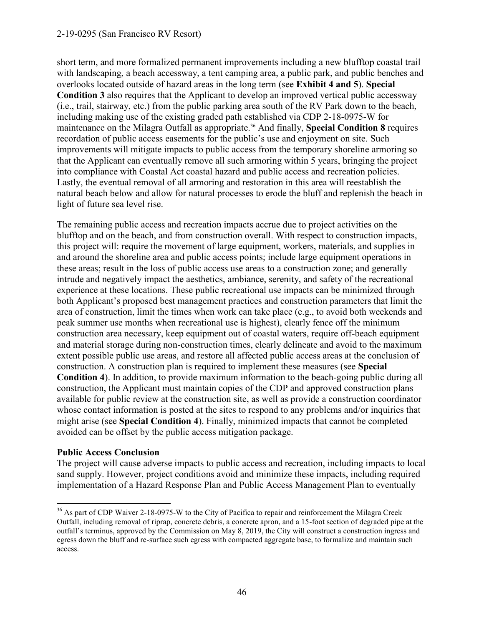#### 2-19-0295 (San Francisco RV Resort)

short term, and more formalized permanent improvements including a new blufftop coastal trail with landscaping, a beach accessway, a tent camping area, a public park, and public benches and overlooks located outside of hazard areas in the long term (see **Exhibit 4 and 5**). **Special Condition 3** also requires that the Applicant to develop an improved vertical public accessway (i.e., trail, stairway, etc.) from the public parking area south of the RV Park down to the beach, including making use of the existing graded path established via CDP 2-18-0975-W for maintenance on the Milagra Outfall as appropriate.<sup>36</sup> And finally, **Special Condition 8** requires recordation of public access easements for the public's use and enjoyment on site. Such improvements will mitigate impacts to public access from the temporary shoreline armoring so that the Applicant can eventually remove all such armoring within 5 years, bringing the project into compliance with Coastal Act coastal hazard and public access and recreation policies. Lastly, the eventual removal of all armoring and restoration in this area will reestablish the natural beach below and allow for natural processes to erode the bluff and replenish the beach in light of future sea level rise.

The remaining public access and recreation impacts accrue due to project activities on the blufftop and on the beach, and from construction overall. With respect to construction impacts, this project will: require the movement of large equipment, workers, materials, and supplies in and around the shoreline area and public access points; include large equipment operations in these areas; result in the loss of public access use areas to a construction zone; and generally intrude and negatively impact the aesthetics, ambiance, serenity, and safety of the recreational experience at these locations. These public recreational use impacts can be minimized through both Applicant's proposed best management practices and construction parameters that limit the area of construction, limit the times when work can take place (e.g., to avoid both weekends and peak summer use months when recreational use is highest), clearly fence off the minimum construction area necessary, keep equipment out of coastal waters, require off-beach equipment and material storage during non-construction times, clearly delineate and avoid to the maximum extent possible public use areas, and restore all affected public access areas at the conclusion of construction. A construction plan is required to implement these measures (see **Special Condition 4**). In addition, to provide maximum information to the beach-going public during all construction, the Applicant must maintain copies of the CDP and approved construction plans available for public review at the construction site, as well as provide a construction coordinator whose contact information is posted at the sites to respond to any problems and/or inquiries that might arise (see **Special Condition 4**). Finally, minimized impacts that cannot be completed avoided can be offset by the public access mitigation package.

#### **Public Access Conclusion**

The project will cause adverse impacts to public access and recreation, including impacts to local sand supply. However, project conditions avoid and minimize these impacts, including required implementation of a Hazard Response Plan and Public Access Management Plan to eventually

 $\overline{a}$ <sup>36</sup> As part of CDP Waiver 2-18-0975-W to the City of Pacifica to repair and reinforcement the Milagra Creek Outfall, including removal of riprap, concrete debris, a concrete apron, and a 15-foot section of degraded pipe at the outfall's terminus, approved by the Commission on May 8, 2019, the City will construct a construction ingress and egress down the bluff and re-surface such egress with compacted aggregate base, to formalize and maintain such access.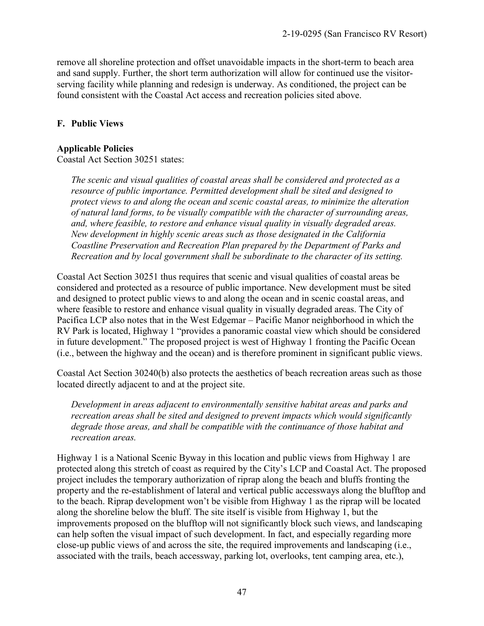remove all shoreline protection and offset unavoidable impacts in the short-term to beach area and sand supply. Further, the short term authorization will allow for continued use the visitorserving facility while planning and redesign is underway. As conditioned, the project can be found consistent with the Coastal Act access and recreation policies sited above.

#### **F. Public Views**

#### **Applicable Policies**

Coastal Act Section 30251 states:

*The scenic and visual qualities of coastal areas shall be considered and protected as a resource of public importance. Permitted development shall be sited and designed to protect views to and along the ocean and scenic coastal areas, to minimize the alteration of natural land forms, to be visually compatible with the character of surrounding areas, and, where feasible, to restore and enhance visual quality in visually degraded areas. New development in highly scenic areas such as those designated in the California Coastline Preservation and Recreation Plan prepared by the Department of Parks and Recreation and by local government shall be subordinate to the character of its setting.*

Coastal Act Section 30251 thus requires that scenic and visual qualities of coastal areas be considered and protected as a resource of public importance. New development must be sited and designed to protect public views to and along the ocean and in scenic coastal areas, and where feasible to restore and enhance visual quality in visually degraded areas. The City of Pacifica LCP also notes that in the West Edgemar – Pacific Manor neighborhood in which the RV Park is located, Highway 1 "provides a panoramic coastal view which should be considered in future development." The proposed project is west of Highway 1 fronting the Pacific Ocean (i.e., between the highway and the ocean) and is therefore prominent in significant public views.

Coastal Act Section 30240(b) also protects the aesthetics of beach recreation areas such as those located directly adjacent to and at the project site.

*Development in areas adjacent to environmentally sensitive habitat areas and parks and recreation areas shall be sited and designed to prevent impacts which would significantly degrade those areas, and shall be compatible with the continuance of those habitat and recreation areas.* 

Highway 1 is a National Scenic Byway in this location and public views from Highway 1 are protected along this stretch of coast as required by the City's LCP and Coastal Act. The proposed project includes the temporary authorization of riprap along the beach and bluffs fronting the property and the re-establishment of lateral and vertical public accessways along the blufftop and to the beach. Riprap development won't be visible from Highway 1 as the riprap will be located along the shoreline below the bluff. The site itself is visible from Highway 1, but the improvements proposed on the blufftop will not significantly block such views, and landscaping can help soften the visual impact of such development. In fact, and especially regarding more close-up public views of and across the site, the required improvements and landscaping (i.e., associated with the trails, beach accessway, parking lot, overlooks, tent camping area, etc.),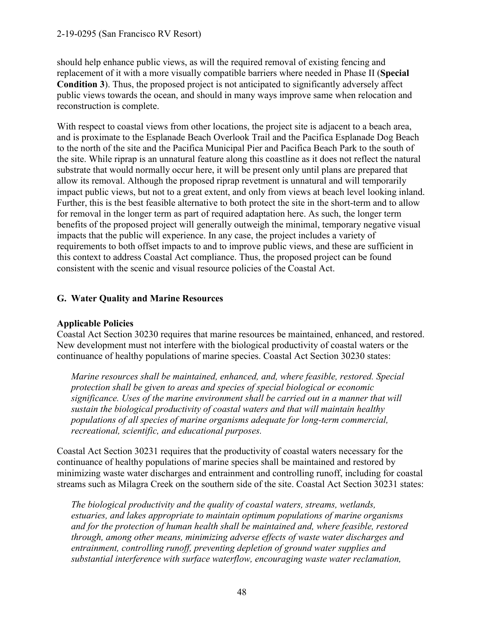should help enhance public views, as will the required removal of existing fencing and replacement of it with a more visually compatible barriers where needed in Phase II (**Special Condition 3**). Thus, the proposed project is not anticipated to significantly adversely affect public views towards the ocean, and should in many ways improve same when relocation and reconstruction is complete.

With respect to coastal views from other locations, the project site is adjacent to a beach area, and is proximate to the Esplanade Beach Overlook Trail and the Pacifica Esplanade Dog Beach to the north of the site and the Pacifica Municipal Pier and Pacifica Beach Park to the south of the site. While riprap is an unnatural feature along this coastline as it does not reflect the natural substrate that would normally occur here, it will be present only until plans are prepared that allow its removal. Although the proposed riprap revetment is unnatural and will temporarily impact public views, but not to a great extent, and only from views at beach level looking inland. Further, this is the best feasible alternative to both protect the site in the short-term and to allow for removal in the longer term as part of required adaptation here. As such, the longer term benefits of the proposed project will generally outweigh the minimal, temporary negative visual impacts that the public will experience. In any case, the project includes a variety of requirements to both offset impacts to and to improve public views, and these are sufficient in this context to address Coastal Act compliance. Thus, the proposed project can be found consistent with the scenic and visual resource policies of the Coastal Act.

### **G. Water Quality and Marine Resources**

#### **Applicable Policies**

Coastal Act Section 30230 requires that marine resources be maintained, enhanced, and restored. New development must not interfere with the biological productivity of coastal waters or the continuance of healthy populations of marine species. Coastal Act Section 30230 states:

*Marine resources shall be maintained, enhanced, and, where feasible, restored. Special protection shall be given to areas and species of special biological or economic significance. Uses of the marine environment shall be carried out in a manner that will sustain the biological productivity of coastal waters and that will maintain healthy populations of all species of marine organisms adequate for long-term commercial, recreational, scientific, and educational purposes.* 

Coastal Act Section 30231 requires that the productivity of coastal waters necessary for the continuance of healthy populations of marine species shall be maintained and restored by minimizing waste water discharges and entrainment and controlling runoff, including for coastal streams such as Milagra Creek on the southern side of the site. Coastal Act Section 30231 states:

*The biological productivity and the quality of coastal waters, streams, wetlands, estuaries, and lakes appropriate to maintain optimum populations of marine organisms and for the protection of human health shall be maintained and, where feasible, restored through, among other means, minimizing adverse effects of waste water discharges and entrainment, controlling runoff, preventing depletion of ground water supplies and substantial interference with surface waterflow, encouraging waste water reclamation,*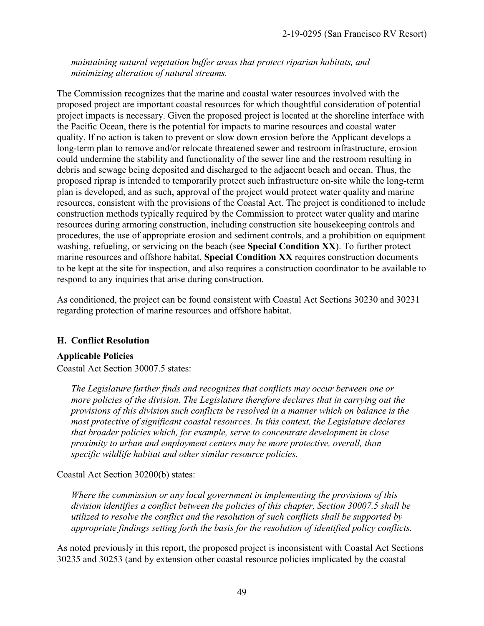*maintaining natural vegetation buffer areas that protect riparian habitats, and minimizing alteration of natural streams.* 

The Commission recognizes that the marine and coastal water resources involved with the proposed project are important coastal resources for which thoughtful consideration of potential project impacts is necessary. Given the proposed project is located at the shoreline interface with the Pacific Ocean, there is the potential for impacts to marine resources and coastal water quality. If no action is taken to prevent or slow down erosion before the Applicant develops a long-term plan to remove and/or relocate threatened sewer and restroom infrastructure, erosion could undermine the stability and functionality of the sewer line and the restroom resulting in debris and sewage being deposited and discharged to the adjacent beach and ocean. Thus, the proposed riprap is intended to temporarily protect such infrastructure on-site while the long-term plan is developed, and as such, approval of the project would protect water quality and marine resources, consistent with the provisions of the Coastal Act. The project is conditioned to include construction methods typically required by the Commission to protect water quality and marine resources during armoring construction, including construction site housekeeping controls and procedures, the use of appropriate erosion and sediment controls, and a prohibition on equipment washing, refueling, or servicing on the beach (see **Special Condition XX**). To further protect marine resources and offshore habitat, **Special Condition XX** requires construction documents to be kept at the site for inspection, and also requires a construction coordinator to be available to respond to any inquiries that arise during construction.

As conditioned, the project can be found consistent with Coastal Act Sections 30230 and 30231 regarding protection of marine resources and offshore habitat.

#### **H. Conflict Resolution**

#### **Applicable Policies**

Coastal Act Section 30007.5 states:

*The Legislature further finds and recognizes that conflicts may occur between one or more policies of the division. The Legislature therefore declares that in carrying out the provisions of this division such conflicts be resolved in a manner which on balance is the most protective of significant coastal resources. In this context, the Legislature declares that broader policies which, for example, serve to concentrate development in close proximity to urban and employment centers may be more protective, overall, than specific wildlife habitat and other similar resource policies.* 

Coastal Act Section 30200(b) states:

*Where the commission or any local government in implementing the provisions of this division identifies a conflict between the policies of this chapter, Section 30007.5 shall be utilized to resolve the conflict and the resolution of such conflicts shall be supported by appropriate findings setting forth the basis for the resolution of identified policy conflicts.* 

As noted previously in this report, the proposed project is inconsistent with Coastal Act Sections 30235 and 30253 (and by extension other coastal resource policies implicated by the coastal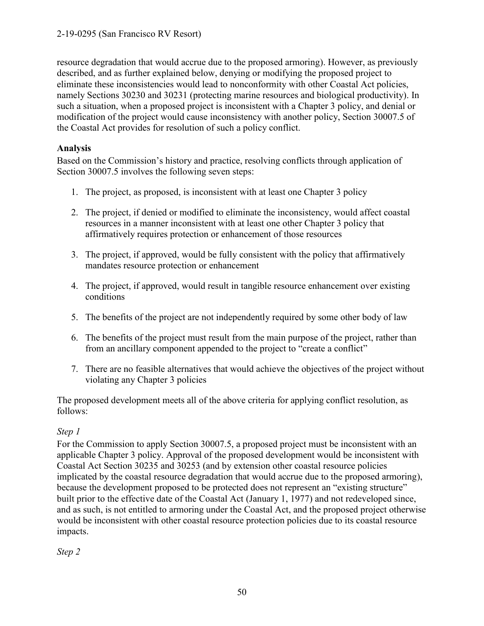resource degradation that would accrue due to the proposed armoring). However, as previously described, and as further explained below, denying or modifying the proposed project to eliminate these inconsistencies would lead to nonconformity with other Coastal Act policies, namely Sections 30230 and 30231 (protecting marine resources and biological productivity). In such a situation, when a proposed project is inconsistent with a Chapter 3 policy, and denial or modification of the project would cause inconsistency with another policy, Section 30007.5 of the Coastal Act provides for resolution of such a policy conflict.

### **Analysis**

Based on the Commission's history and practice, resolving conflicts through application of Section 30007.5 involves the following seven steps:

- 1. The project, as proposed, is inconsistent with at least one Chapter 3 policy
- 2. The project, if denied or modified to eliminate the inconsistency, would affect coastal resources in a manner inconsistent with at least one other Chapter 3 policy that affirmatively requires protection or enhancement of those resources
- 3. The project, if approved, would be fully consistent with the policy that affirmatively mandates resource protection or enhancement
- 4. The project, if approved, would result in tangible resource enhancement over existing conditions
- 5. The benefits of the project are not independently required by some other body of law
- 6. The benefits of the project must result from the main purpose of the project, rather than from an ancillary component appended to the project to "create a conflict"
- 7. There are no feasible alternatives that would achieve the objectives of the project without violating any Chapter 3 policies

The proposed development meets all of the above criteria for applying conflict resolution, as follows:

## *Step 1*

For the Commission to apply Section 30007.5, a proposed project must be inconsistent with an applicable Chapter 3 policy. Approval of the proposed development would be inconsistent with Coastal Act Section 30235 and 30253 (and by extension other coastal resource policies implicated by the coastal resource degradation that would accrue due to the proposed armoring), because the development proposed to be protected does not represent an "existing structure" built prior to the effective date of the Coastal Act (January 1, 1977) and not redeveloped since, and as such, is not entitled to armoring under the Coastal Act, and the proposed project otherwise would be inconsistent with other coastal resource protection policies due to its coastal resource impacts.

*Step 2*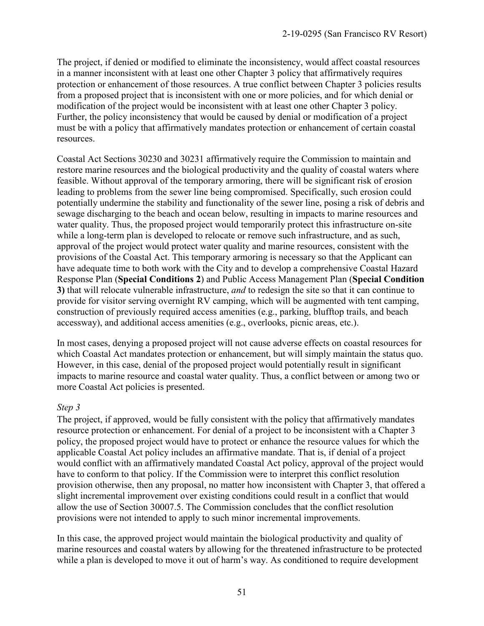The project, if denied or modified to eliminate the inconsistency, would affect coastal resources in a manner inconsistent with at least one other Chapter 3 policy that affirmatively requires protection or enhancement of those resources. A true conflict between Chapter 3 policies results from a proposed project that is inconsistent with one or more policies, and for which denial or modification of the project would be inconsistent with at least one other Chapter 3 policy. Further, the policy inconsistency that would be caused by denial or modification of a project must be with a policy that affirmatively mandates protection or enhancement of certain coastal resources.

Coastal Act Sections 30230 and 30231 affirmatively require the Commission to maintain and restore marine resources and the biological productivity and the quality of coastal waters where feasible. Without approval of the temporary armoring, there will be significant risk of erosion leading to problems from the sewer line being compromised. Specifically, such erosion could potentially undermine the stability and functionality of the sewer line, posing a risk of debris and sewage discharging to the beach and ocean below, resulting in impacts to marine resources and water quality. Thus, the proposed project would temporarily protect this infrastructure on-site while a long-term plan is developed to relocate or remove such infrastructure, and as such, approval of the project would protect water quality and marine resources, consistent with the provisions of the Coastal Act. This temporary armoring is necessary so that the Applicant can have adequate time to both work with the City and to develop a comprehensive Coastal Hazard Response Plan (**Special Conditions 2**) and Public Access Management Plan (**Special Condition 3)** that will relocate vulnerable infrastructure, *and* to redesign the site so that it can continue to provide for visitor serving overnight RV camping, which will be augmented with tent camping, construction of previously required access amenities (e.g., parking, blufftop trails, and beach accessway), and additional access amenities (e.g., overlooks, picnic areas, etc.).

In most cases, denying a proposed project will not cause adverse effects on coastal resources for which Coastal Act mandates protection or enhancement, but will simply maintain the status quo. However, in this case, denial of the proposed project would potentially result in significant impacts to marine resource and coastal water quality. Thus, a conflict between or among two or more Coastal Act policies is presented.

#### *Step 3*

The project, if approved, would be fully consistent with the policy that affirmatively mandates resource protection or enhancement. For denial of a project to be inconsistent with a Chapter 3 policy, the proposed project would have to protect or enhance the resource values for which the applicable Coastal Act policy includes an affirmative mandate. That is, if denial of a project would conflict with an affirmatively mandated Coastal Act policy, approval of the project would have to conform to that policy. If the Commission were to interpret this conflict resolution provision otherwise, then any proposal, no matter how inconsistent with Chapter 3, that offered a slight incremental improvement over existing conditions could result in a conflict that would allow the use of Section 30007.5. The Commission concludes that the conflict resolution provisions were not intended to apply to such minor incremental improvements.

In this case, the approved project would maintain the biological productivity and quality of marine resources and coastal waters by allowing for the threatened infrastructure to be protected while a plan is developed to move it out of harm's way. As conditioned to require development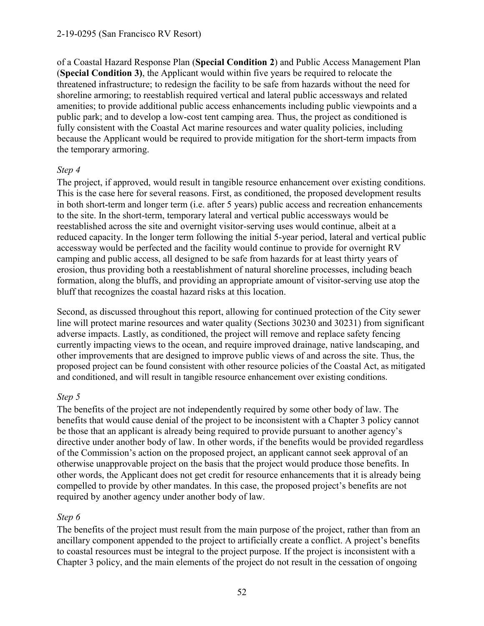of a Coastal Hazard Response Plan (**Special Condition 2**) and Public Access Management Plan (**Special Condition 3)**, the Applicant would within five years be required to relocate the threatened infrastructure; to redesign the facility to be safe from hazards without the need for shoreline armoring; to reestablish required vertical and lateral public accessways and related amenities; to provide additional public access enhancements including public viewpoints and a public park; and to develop a low-cost tent camping area. Thus, the project as conditioned is fully consistent with the Coastal Act marine resources and water quality policies, including because the Applicant would be required to provide mitigation for the short-term impacts from the temporary armoring.

#### *Step 4*

The project, if approved, would result in tangible resource enhancement over existing conditions. This is the case here for several reasons. First, as conditioned, the proposed development results in both short-term and longer term (i.e. after 5 years) public access and recreation enhancements to the site. In the short-term, temporary lateral and vertical public accessways would be reestablished across the site and overnight visitor-serving uses would continue, albeit at a reduced capacity. In the longer term following the initial 5-year period, lateral and vertical public accessway would be perfected and the facility would continue to provide for overnight RV camping and public access, all designed to be safe from hazards for at least thirty years of erosion, thus providing both a reestablishment of natural shoreline processes, including beach formation, along the bluffs, and providing an appropriate amount of visitor-serving use atop the bluff that recognizes the coastal hazard risks at this location.

Second, as discussed throughout this report, allowing for continued protection of the City sewer line will protect marine resources and water quality (Sections 30230 and 30231) from significant adverse impacts. Lastly, as conditioned, the project will remove and replace safety fencing currently impacting views to the ocean, and require improved drainage, native landscaping, and other improvements that are designed to improve public views of and across the site. Thus, the proposed project can be found consistent with other resource policies of the Coastal Act, as mitigated and conditioned, and will result in tangible resource enhancement over existing conditions.

#### *Step 5*

The benefits of the project are not independently required by some other body of law. The benefits that would cause denial of the project to be inconsistent with a Chapter 3 policy cannot be those that an applicant is already being required to provide pursuant to another agency's directive under another body of law. In other words, if the benefits would be provided regardless of the Commission's action on the proposed project, an applicant cannot seek approval of an otherwise unapprovable project on the basis that the project would produce those benefits. In other words, the Applicant does not get credit for resource enhancements that it is already being compelled to provide by other mandates. In this case, the proposed project's benefits are not required by another agency under another body of law.

#### *Step 6*

The benefits of the project must result from the main purpose of the project, rather than from an ancillary component appended to the project to artificially create a conflict. A project's benefits to coastal resources must be integral to the project purpose. If the project is inconsistent with a Chapter 3 policy, and the main elements of the project do not result in the cessation of ongoing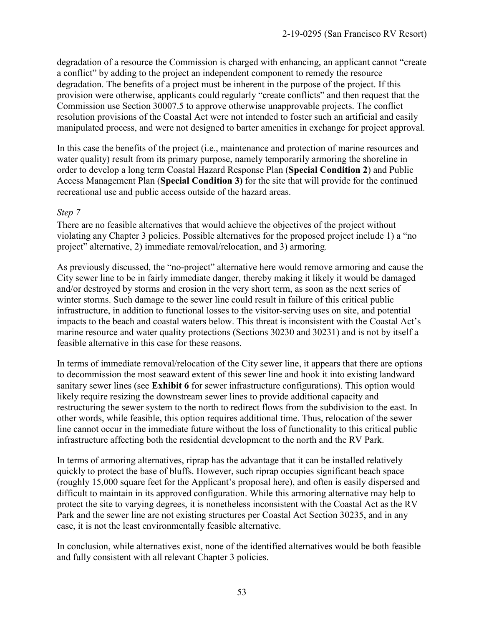degradation of a resource the Commission is charged with enhancing, an applicant cannot "create a conflict" by adding to the project an independent component to remedy the resource degradation. The benefits of a project must be inherent in the purpose of the project. If this provision were otherwise, applicants could regularly "create conflicts" and then request that the Commission use Section 30007.5 to approve otherwise unapprovable projects. The conflict resolution provisions of the Coastal Act were not intended to foster such an artificial and easily manipulated process, and were not designed to barter amenities in exchange for project approval.

In this case the benefits of the project (i.e., maintenance and protection of marine resources and water quality) result from its primary purpose, namely temporarily armoring the shoreline in order to develop a long term Coastal Hazard Response Plan (**Special Condition 2**) and Public Access Management Plan (**Special Condition 3)** for the site that will provide for the continued recreational use and public access outside of the hazard areas.

#### *Step 7*

There are no feasible alternatives that would achieve the objectives of the project without violating any Chapter 3 policies. Possible alternatives for the proposed project include 1) a "no project" alternative, 2) immediate removal/relocation, and 3) armoring.

As previously discussed, the "no-project" alternative here would remove armoring and cause the City sewer line to be in fairly immediate danger, thereby making it likely it would be damaged and/or destroyed by storms and erosion in the very short term, as soon as the next series of winter storms. Such damage to the sewer line could result in failure of this critical public infrastructure, in addition to functional losses to the visitor-serving uses on site, and potential impacts to the beach and coastal waters below. This threat is inconsistent with the Coastal Act's marine resource and water quality protections (Sections 30230 and 30231) and is not by itself a feasible alternative in this case for these reasons.

In terms of immediate removal/relocation of the City sewer line, it appears that there are options to decommission the most seaward extent of this sewer line and hook it into existing landward sanitary sewer lines (see **Exhibit 6** for sewer infrastructure configurations). This option would likely require resizing the downstream sewer lines to provide additional capacity and restructuring the sewer system to the north to redirect flows from the subdivision to the east. In other words, while feasible, this option requires additional time. Thus, relocation of the sewer line cannot occur in the immediate future without the loss of functionality to this critical public infrastructure affecting both the residential development to the north and the RV Park.

In terms of armoring alternatives, riprap has the advantage that it can be installed relatively quickly to protect the base of bluffs. However, such riprap occupies significant beach space (roughly 15,000 square feet for the Applicant's proposal here), and often is easily dispersed and difficult to maintain in its approved configuration. While this armoring alternative may help to protect the site to varying degrees, it is nonetheless inconsistent with the Coastal Act as the RV Park and the sewer line are not existing structures per Coastal Act Section 30235, and in any case, it is not the least environmentally feasible alternative.

In conclusion, while alternatives exist, none of the identified alternatives would be both feasible and fully consistent with all relevant Chapter 3 policies.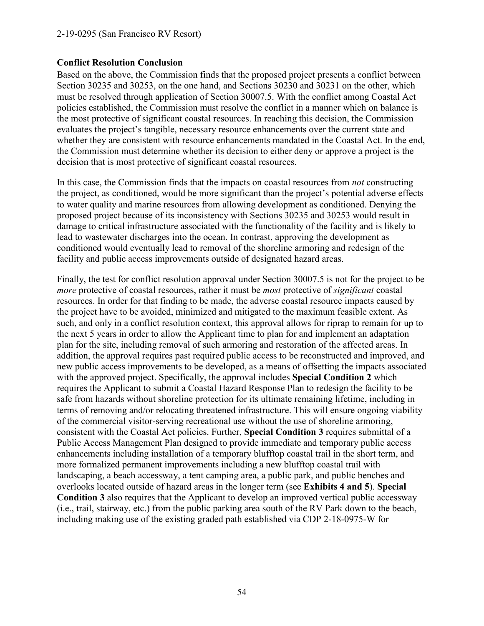#### **Conflict Resolution Conclusion**

Based on the above, the Commission finds that the proposed project presents a conflict between Section 30235 and 30253, on the one hand, and Sections 30230 and 30231 on the other, which must be resolved through application of Section 30007.5. With the conflict among Coastal Act policies established, the Commission must resolve the conflict in a manner which on balance is the most protective of significant coastal resources. In reaching this decision, the Commission evaluates the project's tangible, necessary resource enhancements over the current state and whether they are consistent with resource enhancements mandated in the Coastal Act. In the end, the Commission must determine whether its decision to either deny or approve a project is the decision that is most protective of significant coastal resources.

In this case, the Commission finds that the impacts on coastal resources from *not* constructing the project, as conditioned, would be more significant than the project's potential adverse effects to water quality and marine resources from allowing development as conditioned. Denying the proposed project because of its inconsistency with Sections 30235 and 30253 would result in damage to critical infrastructure associated with the functionality of the facility and is likely to lead to wastewater discharges into the ocean. In contrast, approving the development as conditioned would eventually lead to removal of the shoreline armoring and redesign of the facility and public access improvements outside of designated hazard areas.

Finally, the test for conflict resolution approval under Section 30007.5 is not for the project to be *more* protective of coastal resources, rather it must be *most* protective of *significant* coastal resources. In order for that finding to be made, the adverse coastal resource impacts caused by the project have to be avoided, minimized and mitigated to the maximum feasible extent. As such, and only in a conflict resolution context, this approval allows for riprap to remain for up to the next 5 years in order to allow the Applicant time to plan for and implement an adaptation plan for the site, including removal of such armoring and restoration of the affected areas. In addition, the approval requires past required public access to be reconstructed and improved, and new public access improvements to be developed, as a means of offsetting the impacts associated with the approved project. Specifically, the approval includes **Special Condition 2** which requires the Applicant to submit a Coastal Hazard Response Plan to redesign the facility to be safe from hazards without shoreline protection for its ultimate remaining lifetime, including in terms of removing and/or relocating threatened infrastructure. This will ensure ongoing viability of the commercial visitor-serving recreational use without the use of shoreline armoring, consistent with the Coastal Act policies. Further, **Special Condition 3** requires submittal of a Public Access Management Plan designed to provide immediate and temporary public access enhancements including installation of a temporary blufftop coastal trail in the short term, and more formalized permanent improvements including a new blufftop coastal trail with landscaping, a beach accessway, a tent camping area, a public park, and public benches and overlooks located outside of hazard areas in the longer term (see **Exhibits 4 and 5**). **Special Condition 3** also requires that the Applicant to develop an improved vertical public accessway (i.e., trail, stairway, etc.) from the public parking area south of the RV Park down to the beach, including making use of the existing graded path established via CDP 2-18-0975-W for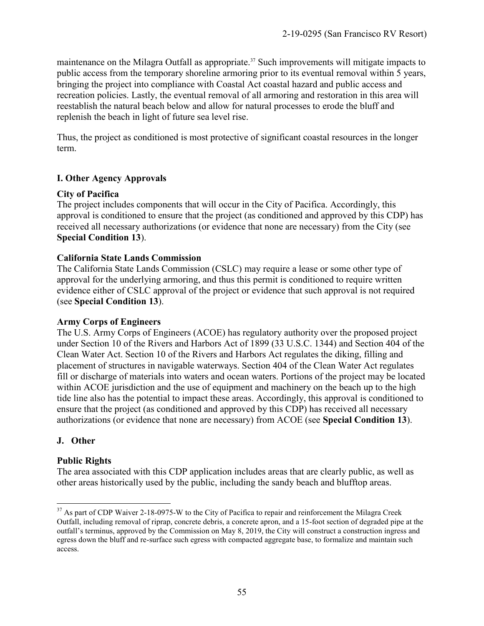maintenance on the Milagra Outfall as appropriate.<sup>37</sup> Such improvements will mitigate impacts to public access from the temporary shoreline armoring prior to its eventual removal within 5 years, bringing the project into compliance with Coastal Act coastal hazard and public access and recreation policies. Lastly, the eventual removal of all armoring and restoration in this area will reestablish the natural beach below and allow for natural processes to erode the bluff and replenish the beach in light of future sea level rise.

Thus, the project as conditioned is most protective of significant coastal resources in the longer term.

#### **I. Other Agency Approvals**

#### **City of Pacifica**

The project includes components that will occur in the City of Pacifica. Accordingly, this approval is conditioned to ensure that the project (as conditioned and approved by this CDP) has received all necessary authorizations (or evidence that none are necessary) from the City (see **Special Condition 13**).

#### **California State Lands Commission**

The California State Lands Commission (CSLC) may require a lease or some other type of approval for the underlying armoring, and thus this permit is conditioned to require written evidence either of CSLC approval of the project or evidence that such approval is not required (see **Special Condition 13**).

#### **Army Corps of Engineers**

The U.S. Army Corps of Engineers (ACOE) has regulatory authority over the proposed project under Section 10 of the Rivers and Harbors Act of 1899 (33 U.S.C. 1344) and Section 404 of the Clean Water Act. Section 10 of the Rivers and Harbors Act regulates the diking, filling and placement of structures in navigable waterways. Section 404 of the Clean Water Act regulates fill or discharge of materials into waters and ocean waters. Portions of the project may be located within ACOE jurisdiction and the use of equipment and machinery on the beach up to the high tide line also has the potential to impact these areas. Accordingly, this approval is conditioned to ensure that the project (as conditioned and approved by this CDP) has received all necessary authorizations (or evidence that none are necessary) from ACOE (see **Special Condition 13**).

#### **J. Other**

#### **Public Rights**

The area associated with this CDP application includes areas that are clearly public, as well as other areas historically used by the public, including the sandy beach and blufftop areas.

 $\overline{a}$  $37$  As part of CDP Waiver 2-18-0975-W to the City of Pacifica to repair and reinforcement the Milagra Creek Outfall, including removal of riprap, concrete debris, a concrete apron, and a 15-foot section of degraded pipe at the outfall's terminus, approved by the Commission on May 8, 2019, the City will construct a construction ingress and egress down the bluff and re-surface such egress with compacted aggregate base, to formalize and maintain such access.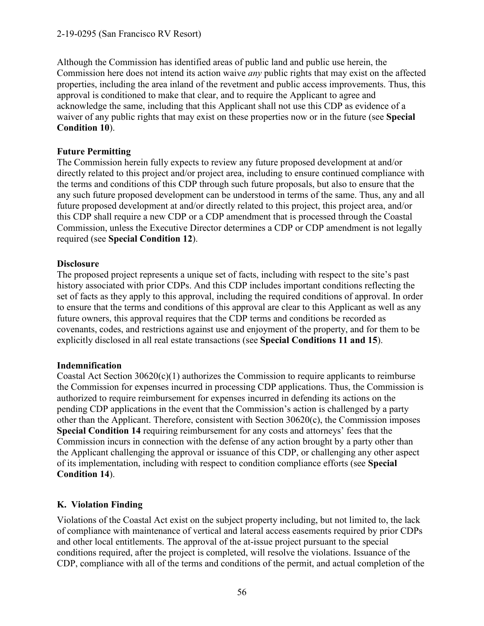#### 2-19-0295 (San Francisco RV Resort)

Although the Commission has identified areas of public land and public use herein, the Commission here does not intend its action waive *any* public rights that may exist on the affected properties, including the area inland of the revetment and public access improvements. Thus, this approval is conditioned to make that clear, and to require the Applicant to agree and acknowledge the same, including that this Applicant shall not use this CDP as evidence of a waiver of any public rights that may exist on these properties now or in the future (see **Special Condition 10**).

#### **Future Permitting**

The Commission herein fully expects to review any future proposed development at and/or directly related to this project and/or project area, including to ensure continued compliance with the terms and conditions of this CDP through such future proposals, but also to ensure that the any such future proposed development can be understood in terms of the same. Thus, any and all future proposed development at and/or directly related to this project, this project area, and/or this CDP shall require a new CDP or a CDP amendment that is processed through the Coastal Commission, unless the Executive Director determines a CDP or CDP amendment is not legally required (see **Special Condition 12**).

#### **Disclosure**

The proposed project represents a unique set of facts, including with respect to the site's past history associated with prior CDPs. And this CDP includes important conditions reflecting the set of facts as they apply to this approval, including the required conditions of approval. In order to ensure that the terms and conditions of this approval are clear to this Applicant as well as any future owners, this approval requires that the CDP terms and conditions be recorded as covenants, codes, and restrictions against use and enjoyment of the property, and for them to be explicitly disclosed in all real estate transactions (see **Special Conditions 11 and 15**).

#### **Indemnification**

Coastal Act Section  $30620(c)(1)$  authorizes the Commission to require applicants to reimburse the Commission for expenses incurred in processing CDP applications. Thus, the Commission is authorized to require reimbursement for expenses incurred in defending its actions on the pending CDP applications in the event that the Commission's action is challenged by a party other than the Applicant. Therefore, consistent with Section  $30620(c)$ , the Commission imposes **Special Condition 14** requiring reimbursement for any costs and attorneys' fees that the Commission incurs in connection with the defense of any action brought by a party other than the Applicant challenging the approval or issuance of this CDP, or challenging any other aspect of its implementation, including with respect to condition compliance efforts (see **Special Condition 14**).

#### **K. Violation Finding**

Violations of the Coastal Act exist on the subject property including, but not limited to, the lack of compliance with maintenance of vertical and lateral access easements required by prior CDPs and other local entitlements. The approval of the at-issue project pursuant to the special conditions required, after the project is completed, will resolve the violations. Issuance of the CDP, compliance with all of the terms and conditions of the permit, and actual completion of the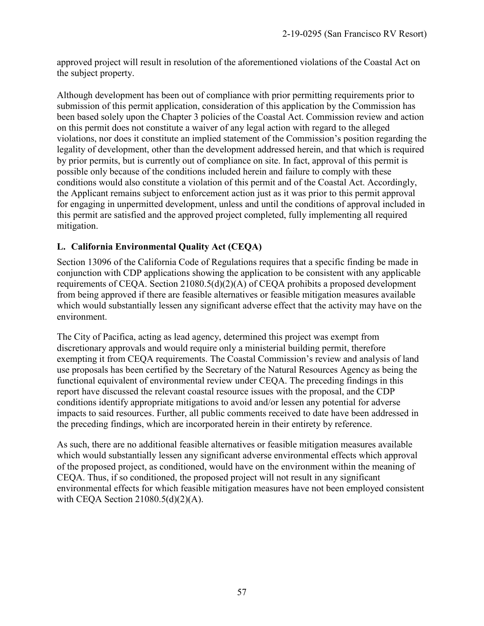approved project will result in resolution of the aforementioned violations of the Coastal Act on the subject property.

Although development has been out of compliance with prior permitting requirements prior to submission of this permit application, consideration of this application by the Commission has been based solely upon the Chapter 3 policies of the Coastal Act. Commission review and action on this permit does not constitute a waiver of any legal action with regard to the alleged violations, nor does it constitute an implied statement of the Commission's position regarding the legality of development, other than the development addressed herein, and that which is required by prior permits, but is currently out of compliance on site. In fact, approval of this permit is possible only because of the conditions included herein and failure to comply with these conditions would also constitute a violation of this permit and of the Coastal Act. Accordingly, the Applicant remains subject to enforcement action just as it was prior to this permit approval for engaging in unpermitted development, unless and until the conditions of approval included in this permit are satisfied and the approved project completed, fully implementing all required mitigation.

#### **L. California Environmental Quality Act (CEQA)**

Section 13096 of the California Code of Regulations requires that a specific finding be made in conjunction with CDP applications showing the application to be consistent with any applicable requirements of CEQA. Section 21080.5(d)(2)(A) of CEQA prohibits a proposed development from being approved if there are feasible alternatives or feasible mitigation measures available which would substantially lessen any significant adverse effect that the activity may have on the environment.

The City of Pacifica, acting as lead agency, determined this project was exempt from discretionary approvals and would require only a ministerial building permit, therefore exempting it from CEQA requirements. The Coastal Commission's review and analysis of land use proposals has been certified by the Secretary of the Natural Resources Agency as being the functional equivalent of environmental review under CEQA. The preceding findings in this report have discussed the relevant coastal resource issues with the proposal, and the CDP conditions identify appropriate mitigations to avoid and/or lessen any potential for adverse impacts to said resources. Further, all public comments received to date have been addressed in the preceding findings, which are incorporated herein in their entirety by reference.

As such, there are no additional feasible alternatives or feasible mitigation measures available which would substantially lessen any significant adverse environmental effects which approval of the proposed project, as conditioned, would have on the environment within the meaning of CEQA. Thus, if so conditioned, the proposed project will not result in any significant environmental effects for which feasible mitigation measures have not been employed consistent with CEQA Section 21080.5(d)(2)(A).